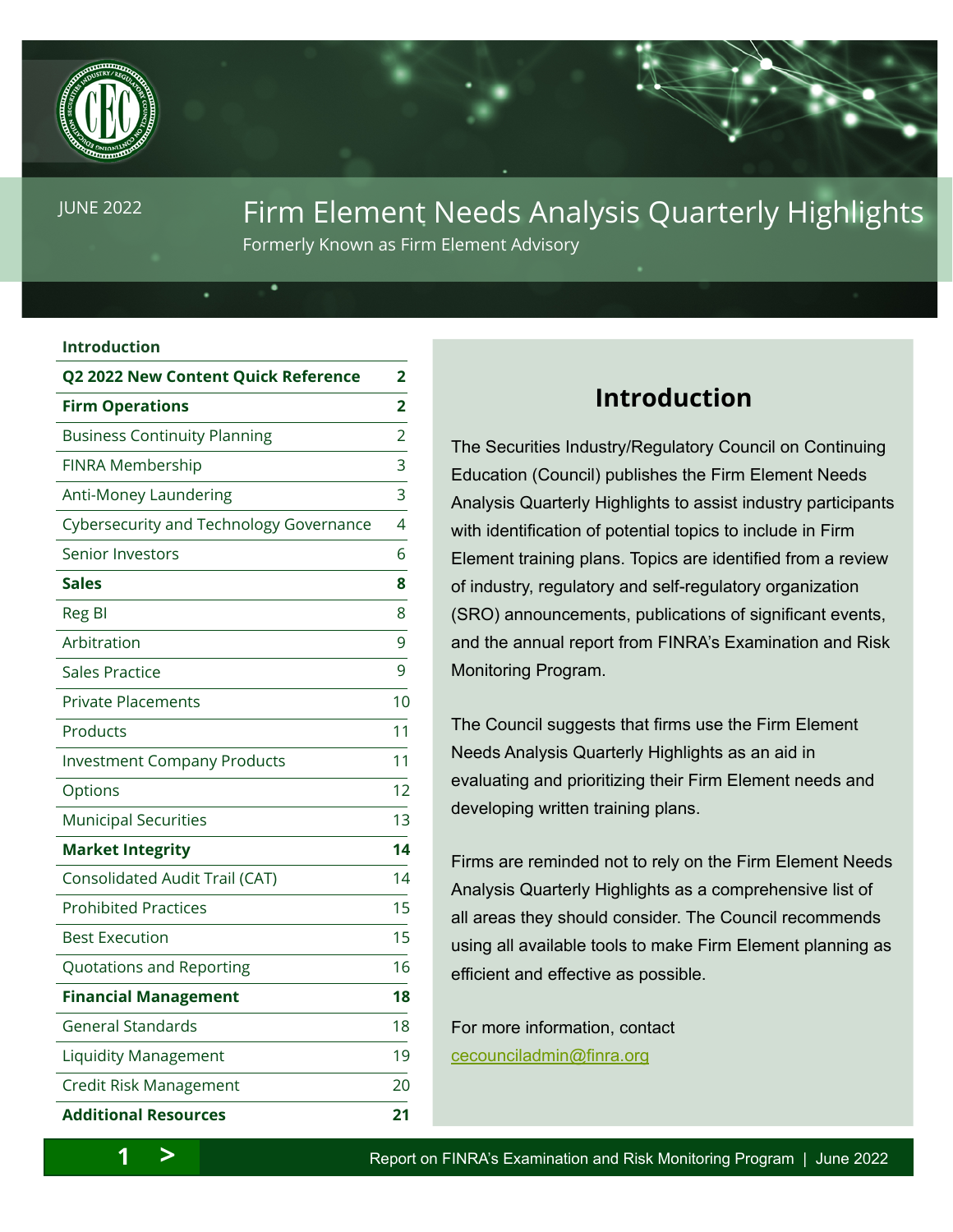<span id="page-0-0"></span>

# JUNE 2022 **Firm Element Needs Analysis Quarterly Highlights**

Formerly Known as Firm Element Advisory

Firm Element Needs Analysis  $\Delta$ Formerly Known as Firm Element Advisory

#### **Introduction**

| <b>Q2 2022 New Content Quick Reference</b> | 2                       |
|--------------------------------------------|-------------------------|
| <b>Firm Operations</b>                     | $\overline{\mathbf{2}}$ |
| <b>Business Continuity Planning</b>        | $\overline{2}$          |
| FINRA Membership                           | 3                       |
| Anti-Money Laundering                      | 3                       |
| Cybersecurity and Technology Governance    | 4                       |
| Senior Investors                           | 6                       |
| <b>Sales</b>                               | 8                       |
| Reg BI                                     | 8                       |
| Arbitration                                | 9                       |
| <b>Sales Practice</b>                      | 9                       |
| <b>Private Placements</b>                  | 10                      |
| Products                                   | 11                      |
| <b>Investment Company Products</b>         | 11                      |
| Options                                    | 12                      |
| <b>Municipal Securities</b>                | 13                      |
| <b>Market Integrity</b>                    | 14                      |
| Consolidated Audit Trail (CAT)             | 14                      |
| <b>Prohibited Practices</b>                | 15                      |
| <b>Best Execution</b>                      | 15                      |
| Quotations and Reporting                   | 16                      |
| <b>Financial Management</b>                | 18                      |
| <b>General Standards</b>                   | 18                      |
| <b>Liquidity Management</b>                | 19                      |
| Credit Risk Management                     | 20                      |
| <b>Additional Resources</b>                | 21                      |

## **Introduction**

The Securities Industry/Regulatory Council on Continuing Education (Council) publishes the Firm Element Needs Analysis Quarterly Highlights to assist industry participants with identification of potential topics to include in Firm Element training plans. Topics are identified from a review of industry, regulatory and self-regulatory organization (SRO) announcements, publications of significant events, and the annual report from FINRA's Examination and Risk Monitoring Program.

The Council suggests that firms use the Firm Element Needs Analysis Quarterly Highlights as an aid in evaluating and prioritizing their Firm Element needs and developing written training plans.

Firms are reminded not to rely on the Firm Element Needs Analysis Quarterly Highlights as a comprehensive list of all areas they should consider. The Council recommends using all available tools to make Firm Element planning as efficient and effective as possible.

For more information, contact [cecounciladmin@finra.org](mailto:cecounciladmin%40finra.org?subject=)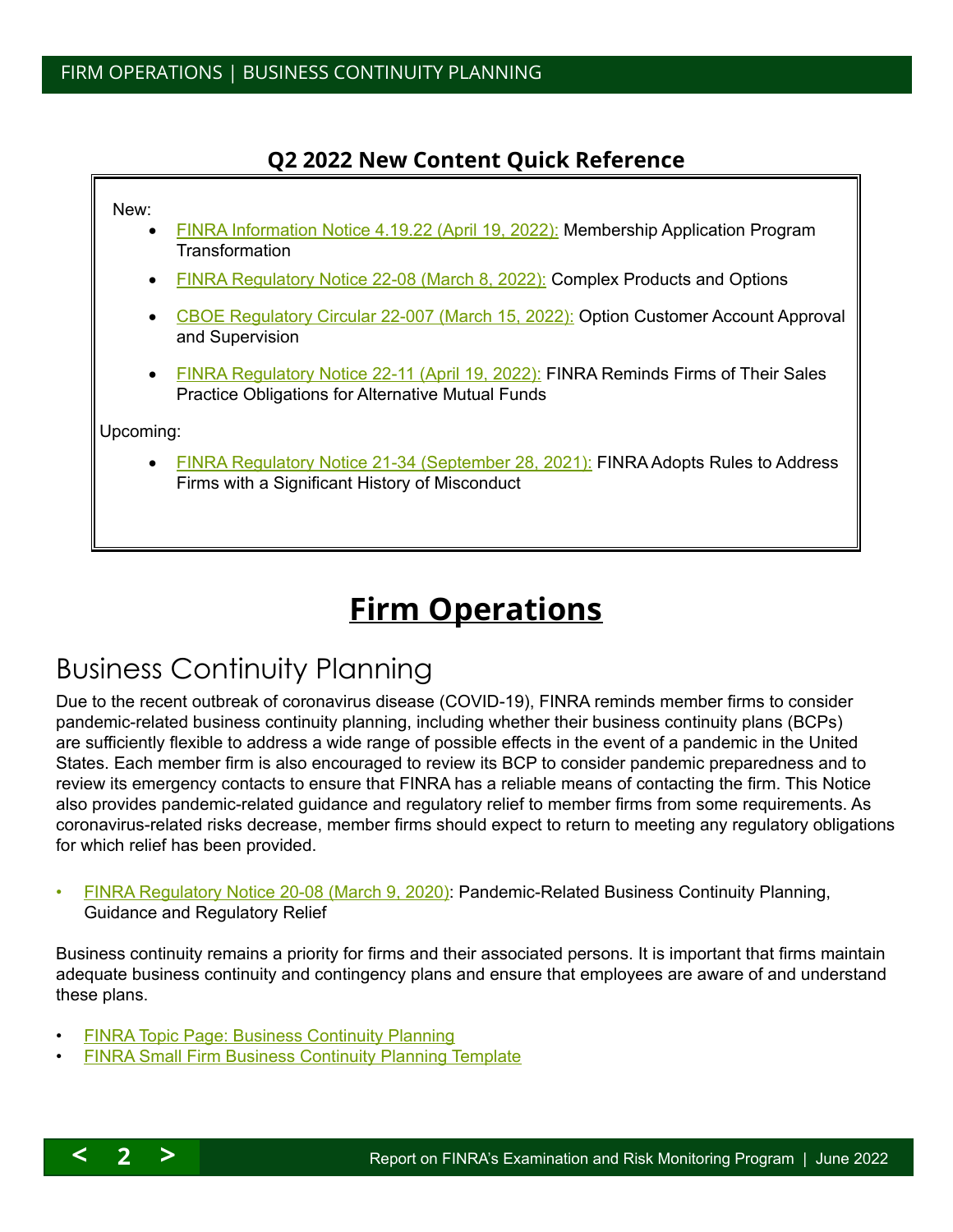## **Q2 2022 New Content Quick Reference**

# <span id="page-1-0"></span>New: **[FINRA Information Notice 4.19.22 \(April 19, 2022\):](#page-2-0) Membership Application Program Transformation [FINRA Regulatory Notice 22-08 \(March 8, 2022\):](#page-10-0) Complex Products and Options** [CBOE Regulatory Circular 22-007 \(March 15, 2022\):](#page-11-1) Option Customer Account Approval and Supervision • [FINRA Regulatory Notice 22-11 \(April 19, 2022\):](#page-9-1) FINRA Reminds Firms of Their Sales Practice Obligations for Alternative Mutual Funds Upcoming: [FINRA Regulatory Notice 21-34 \(September 28, 2021\):](#page-9-2) FINRA Adopts Rules to Address Firms with a Significant History of Misconduct

# **Firm Operations**

# <span id="page-1-1"></span>Business Continuity Planning

Due to the recent outbreak of coronavirus disease (COVID-19), FINRA reminds member firms to consider pandemic-related business continuity planning, including whether their business continuity plans (BCPs) are sufficiently flexible to address a wide range of possible effects in the event of a pandemic in the United States. Each member firm is also encouraged to review its BCP to consider pandemic preparedness and to review its emergency contacts to ensure that FINRA has a reliable means of contacting the firm. This Notice also provides pandemic-related guidance and regulatory relief to member firms from some requirements. As coronavirus-related risks decrease, member firms should expect to return to meeting any regulatory obligations for which relief has been provided.

• [FINRA Regulatory Notice 20-08 \(March 9, 2020\):](http://cecouncil.com/media/266677/finra-regulatory-notice-20-08.pdf) Pandemic-Related Business Continuity Planning, Guidance and Regulatory Relief

Business continuity remains a priority for firms and their associated persons. It is important that firms maintain adequate business continuity and contingency plans and ensure that employees are aware of and understand these plans.

- [FINRA Topic Page: Business Continuity Planning](http://www.finra.org/industry/business-continuity-planning)
- **[FINRA Small Firm Business Continuity Planning Template](http://www.finra.org/industry/small-firm-business-continuity-plan-template)**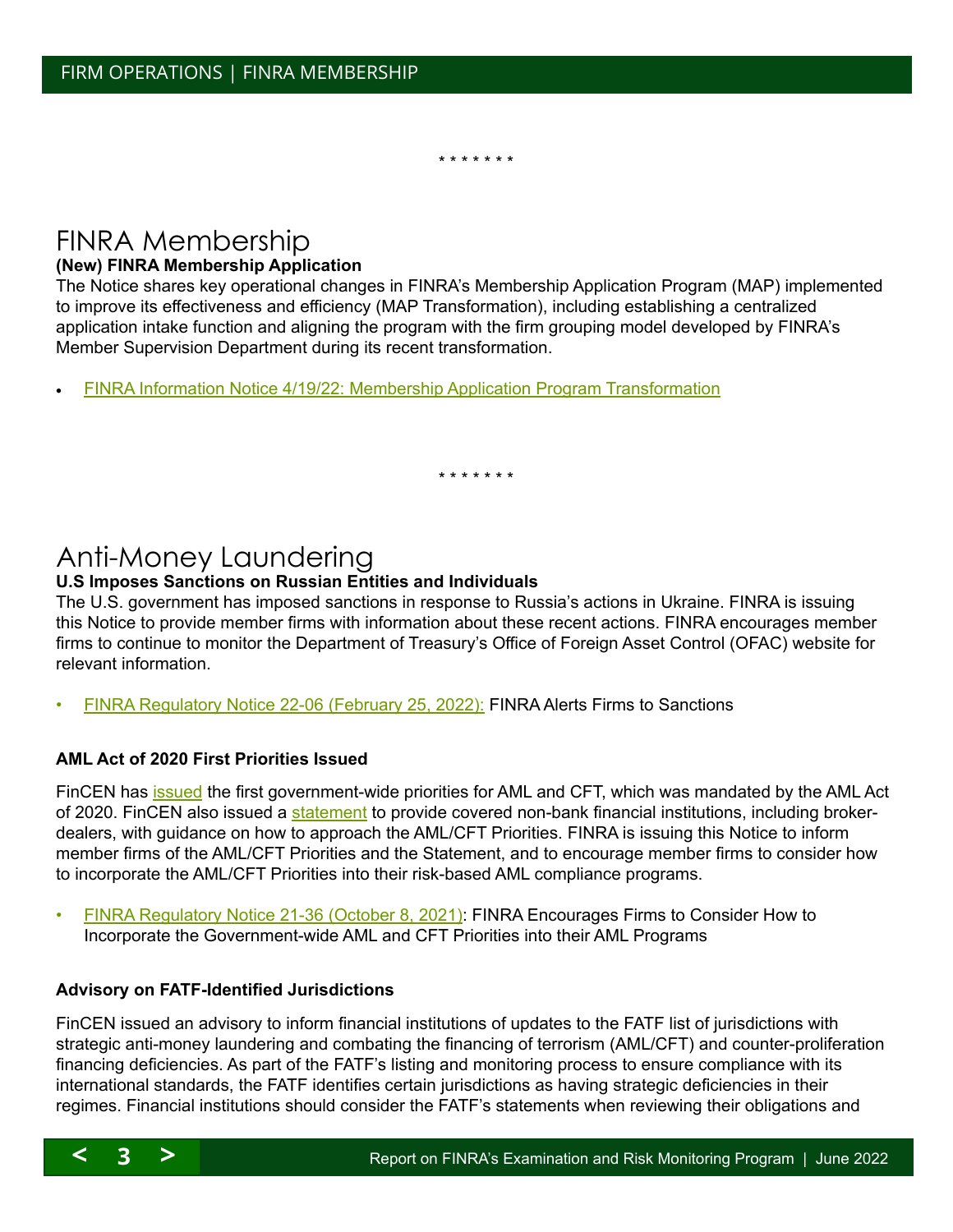\* \* \* \* \* \* \*

## <span id="page-2-2"></span><span id="page-2-0"></span>FINRA Membership

#### **(New) FINRA Membership Application**

The Notice shares key operational changes in FINRA's Membership Application Program (MAP) implemented to improve its effectiveness and efficiency (MAP Transformation), including establishing a centralized application intake function and aligning the program with the firm grouping model developed by FINRA's Member Supervision Department during its recent transformation.

[FINRA Information Notice 4/19/22: Membership Application Program Transformation](http://cecouncil.org/media/266880/finra-information-notice-41922.pdf)

\* \* \* \* \* \* \*

## <span id="page-2-1"></span>Anti-Money Laundering

#### **U.S Imposes Sanctions on Russian Entities and Individuals**

The U.S. government has imposed sanctions in response to Russia's actions in Ukraine. FINRA is issuing this Notice to provide member firms with information about these recent actions. FINRA encourages member firms to continue to monitor the Department of Treasury's Office of Foreign Asset Control (OFAC) website for relevant information.

• [FINRA Regulatory Notice 22-06 \(February 25, 2022\)](https://www.finra.org/sites/default/files/2022-02/Regulatory-Notice-22-06.pdf): FINRA Alerts Firms to Sanctions

#### **AML Act of 2020 First Priorities Issued**

FinCEN has [issued](https://www.fincen.gov/news/news-releases/fincen-issues-first-national-amlcft-priorities-and-accompanying-statements) the first government-wide priorities for AML and CFT, which was mandated by the AML Act of 2020. FinCEN also issued a [statement](https://www.fincen.gov/sites/default/files/shared/Statement%20for%20Non-Bank%20Financial%20Institutions%20(June%2030%2C%202021).pdf) to provide covered non-bank financial institutions, including brokerdealers, with guidance on how to approach the AML/CFT Priorities. FINRA is issuing this Notice to inform member firms of the AML/CFT Priorities and the Statement, and to encourage member firms to consider how to incorporate the AML/CFT Priorities into their risk-based AML compliance programs.

• [FINRA Regulatory Notice 21-36 \(October 8, 2021\)](https://www.finra.org/sites/default/files/2021-10/Regulatory-Notice-21-36.pdf): FINRA Encourages Firms to Consider How to Incorporate the Government-wide AML and CFT Priorities into their AML Programs

#### **Advisory on FATF-Identified Jurisdictions**

FinCEN issued an advisory to inform financial institutions of updates to the FATF list of jurisdictions with strategic anti-money laundering and combating the financing of terrorism (AML/CFT) and counter-proliferation financing deficiencies. As part of the FATF's listing and monitoring process to ensure compliance with its international standards, the FATF identifies certain jurisdictions as having strategic deficiencies in their regimes. Financial institutions should consider the FATF's statements when reviewing their obligations and

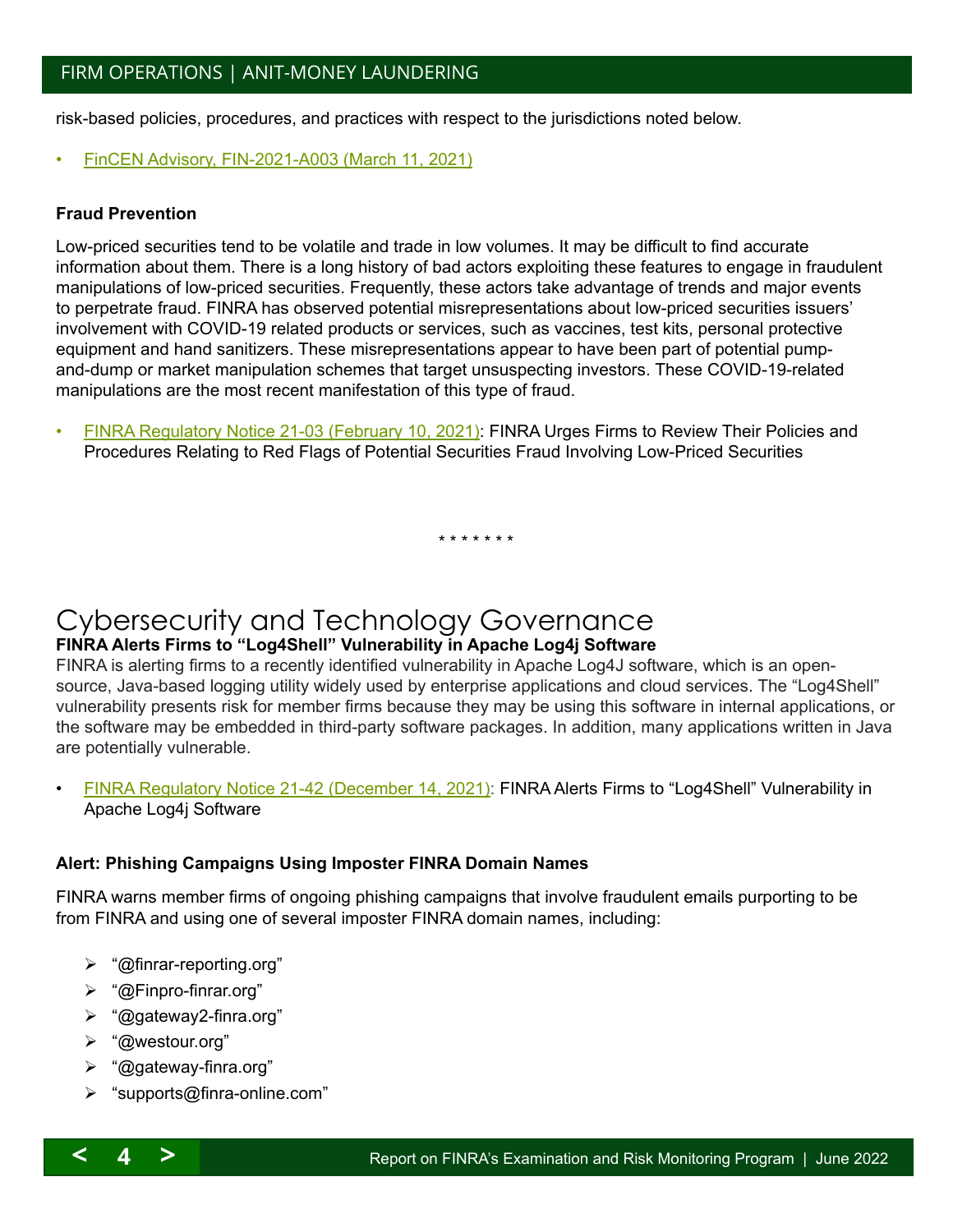<span id="page-3-1"></span>risk-based policies, procedures, and practices with respect to the jurisdictions noted below.

• [FinCEN Advisory, FIN-2021-A003 \(March 11, 2021\)](https://www.fincen.gov/sites/default/files/advisory/2021-03-11/FATF%20February%202021%20Advisory%20FINAL%20508.pdf)

#### **Fraud Prevention**

Low-priced securities tend to be volatile and trade in low volumes. It may be difficult to find accurate information about them. There is a long history of bad actors exploiting these features to engage in fraudulent manipulations of low-priced securities. Frequently, these actors take advantage of trends and major events to perpetrate fraud. FINRA has observed potential misrepresentations about low-priced securities issuers' involvement with COVID-19 related products or services, such as vaccines, test kits, personal protective equipment and hand sanitizers. These misrepresentations appear to have been part of potential pumpand-dump or market manipulation schemes that target unsuspecting investors. These COVID-19-related manipulations are the most recent manifestation of this type of fraud.

• [FINRA Regulatory Notice 21-03 \(February 10, 2021\)](https://www.finra.org/sites/default/files/2021-02/Regulatory-Notice-21-03.pdf): FINRA Urges Firms to Review Their Policies and Procedures Relating to Red Flags of Potential Securities Fraud Involving Low-Priced Securities

\* \* \* \* \* \* \*

## <span id="page-3-0"></span>Cybersecurity and Technology Governance

#### **FINRA Alerts Firms to "Log4Shell" Vulnerability in Apache Log4j Software**

FINRA is alerting firms to a recently identified vulnerability in Apache Log4J software, which is an opensource, Java-based logging utility widely used by enterprise applications and cloud services. The "Log4Shell" vulnerability presents risk for member firms because they may be using this software in internal applications, or the software may be embedded in third-party software packages. In addition, many applications written in Java are potentially vulnerable.

• [FINRA Regulatory Notice 21-42 \(December 14, 2021\)](https://www.finra.org/sites/default/files/2021-12/Regulatory-Notice-21-42.pdf): FINRA Alerts Firms to "Log4Shell" Vulnerability in Apache Log4j Software

#### **Alert: Phishing Campaigns Using Imposter FINRA Domain Names**

FINRA warns member firms of ongoing phishing campaigns that involve fraudulent emails purporting to be from FINRA and using one of several imposter FINRA domain names, including:

- "@[finrar-reporting.org"](http://finrar-reporting.org)
- "@[Finpro-finrar.org](http://Finpro-finrar.org)"
- "@[gateway2-finra.org"](http://gateway2-finra.org)
- "@[westour.org"](http://westour.org)
- "@[gateway-finra.org"](http://gateway-finra.org)
- > "[supports@finra-online.com](mailto:supports@finra-online.com)"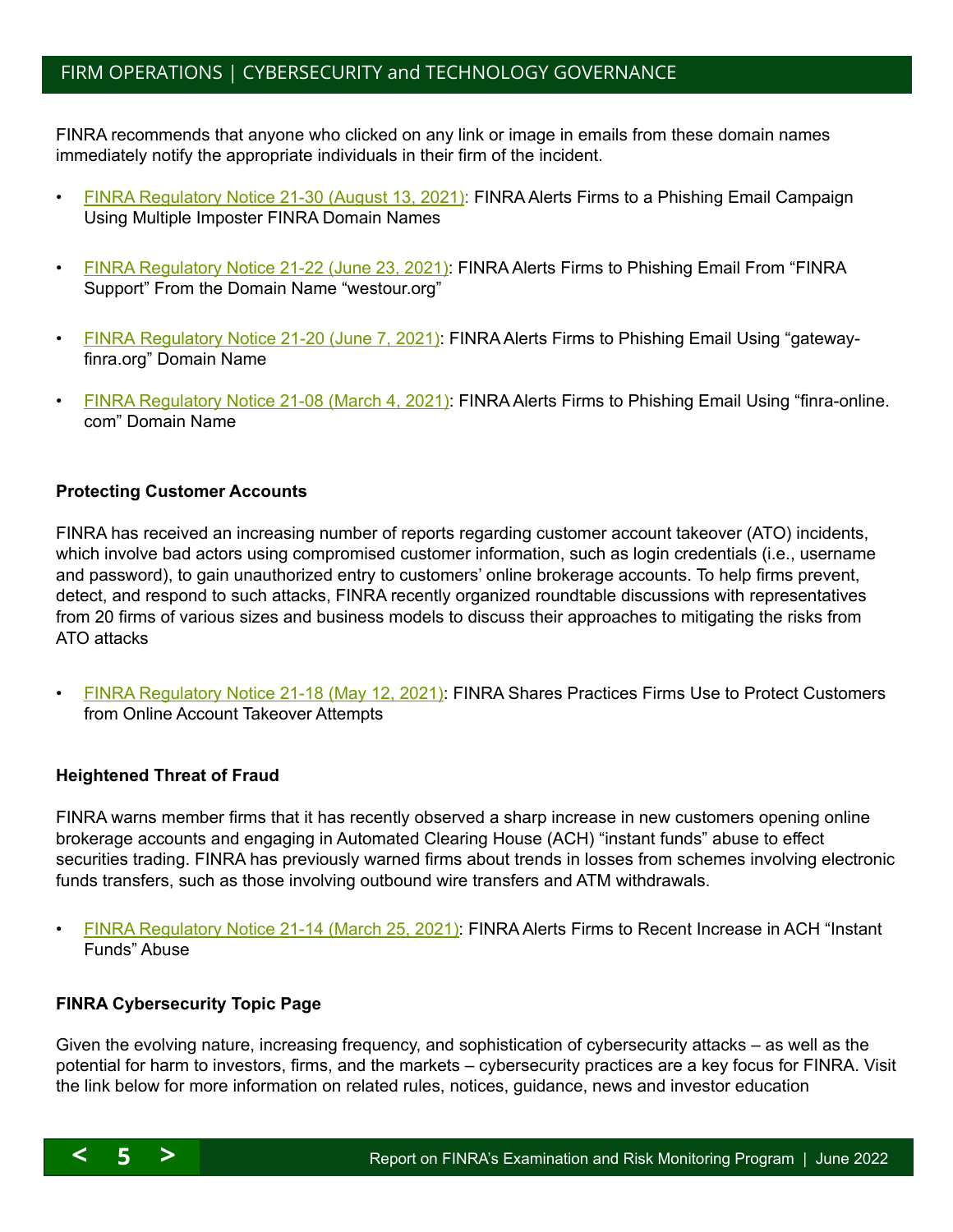## <span id="page-4-0"></span>FIRM OPERATIONS | CYBERSECURITY and TECHNOLOGY GOVERNANCE

FINRA recommends that anyone who clicked on any link or image in emails from these domain names immediately notify the appropriate individuals in their firm of the incident.

- [FINRA Regulatory Notice 21-30 \(August 13, 2021\)](https://www.finra.org/sites/default/files/2021-08/Regulatory-Notice-21-30.pdf): FINRA Alerts Firms to a Phishing Email Campaign Using Multiple Imposter FINRA Domain Names
- [FINRA Regulatory Notice 21-22 \(June 23, 2021\)](https://www.finra.org/sites/default/files/2021-06/Regulatory-Notice-21-22.pdf): FINRA Alerts Firms to Phishing Email From "FINRA Support" From the Domain Name ["westour.org](http://westour.org)"
- [FINRA Regulatory Notice 21-20 \(June 7, 2021\)](https://www.finra.org/sites/default/files/2021-06/Regulatory-Notice-21-20.pdf): FINRA Alerts Firms to Phishing Email Using ["gateway](http://gateway-finra.org)[finra.org](http://gateway-finra.org)" Domain Name
- [FINRA Regulatory Notice 21-08 \(March 4, 2021\):](https://www.finra.org/sites/default/files/2021-03/Regulatory-Notice-21-08.pdf) FINRA Alerts Firms to Phishing Email Using ["finra-online.](http://finra-online.com) [com"](http://finra-online.com) Domain Name

#### **Protecting Customer Accounts**

FINRA has received an increasing number of reports regarding customer account takeover (ATO) incidents, which involve bad actors using compromised customer information, such as login credentials (i.e., username and password), to gain unauthorized entry to customers' online brokerage accounts. To help firms prevent, detect, and respond to such attacks, FINRA recently organized roundtable discussions with representatives from 20 firms of various sizes and business models to discuss their approaches to mitigating the risks from ATO attacks

• [FINRA Regulatory Notice 21-18 \(May 12, 2021\)](https://www.finra.org/sites/default/files/2021-05/Regulatory-Notice-21-18.pdf): FINRA Shares Practices Firms Use to Protect Customers from Online Account Takeover Attempts

#### **Heightened Threat of Fraud**

FINRA warns member firms that it has recently observed a sharp increase in new customers opening online brokerage accounts and engaging in Automated Clearing House (ACH) "instant funds" abuse to effect securities trading. FINRA has previously warned firms about trends in losses from schemes involving electronic funds transfers, such as those involving outbound wire transfers and ATM withdrawals.

• [FINRA Regulatory Notice 21-14 \(March 25, 2021\):](https://www.finra.org/sites/default/files/2021-03/Regulatory-Notice-21-14.pdf) FINRA Alerts Firms to Recent Increase in ACH "Instant" Funds" Abuse

#### **FINRA Cybersecurity Topic Page**

Given the evolving nature, increasing frequency, and sophistication of cybersecurity attacks – as well as the potential for harm to investors, firms, and the markets – cybersecurity practices are a key focus for FINRA. Visit the link below for more information on related rules, notices, guidance, news and investor education

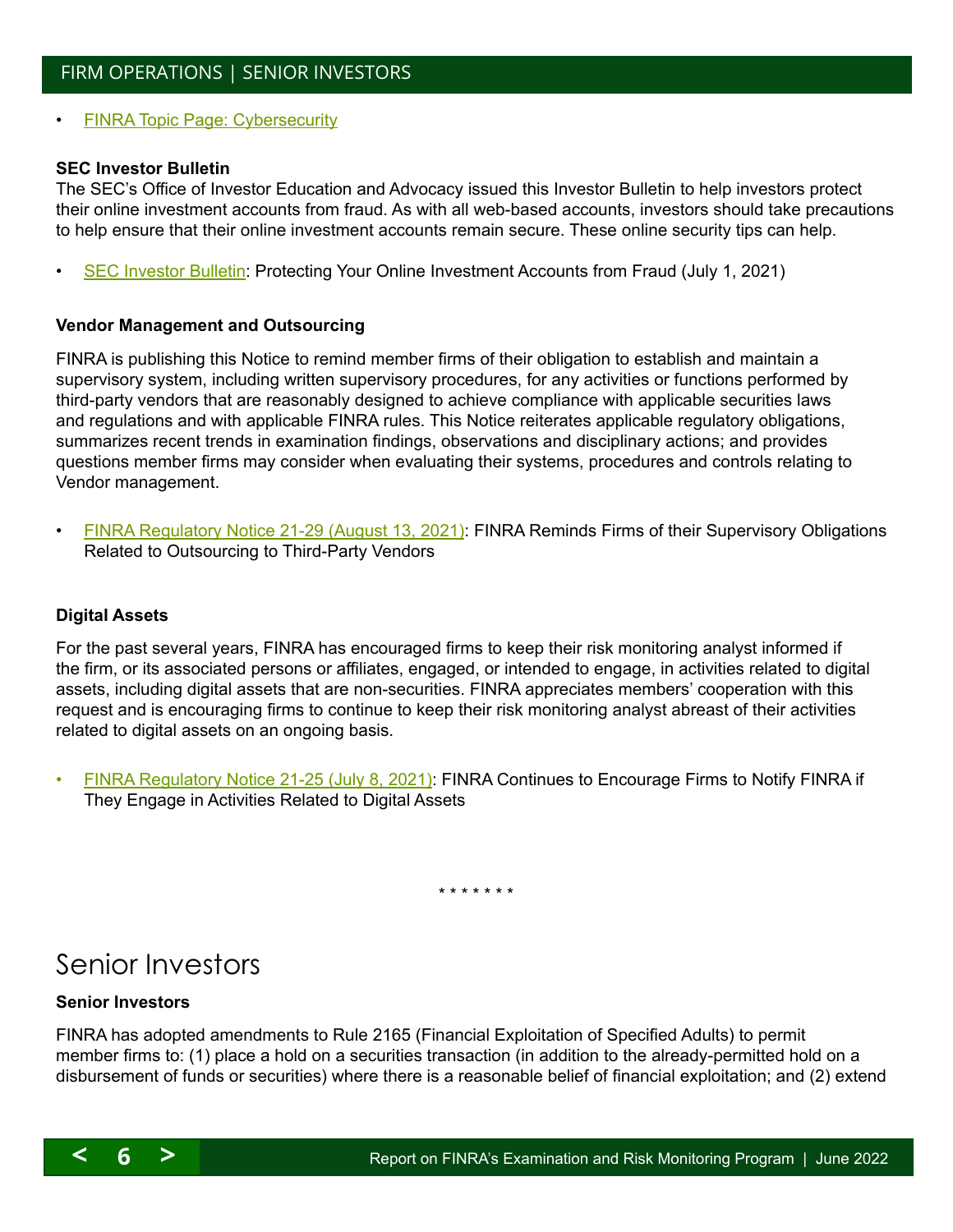<span id="page-5-1"></span>**[FINRA Topic Page: Cybersecurity](http://www.finra.org/industry/cybersecurity?utm_source=MM&utm_medium=email&utm_campaign=Weekly_Update_110216_FINAL)** 

#### **SEC Investor Bulletin**

The SEC's Office of Investor Education and Advocacy issued this Investor Bulletin to help investors protect their online investment accounts from fraud. As with all web-based accounts, investors should take precautions to help ensure that their online investment accounts remain secure. These online security tips can help.

• [SEC Investor Bulletin:](https://investor.gov/additional-resources/news-alerts/alerts-bulletins/updated-investor-bulletin-protecting-your-online) Protecting Your Online Investment Accounts from Fraud (July 1, 2021)

#### **Vendor Management and Outsourcing**

FINRA is publishing this Notice to remind member firms of their obligation to establish and maintain a supervisory system, including written supervisory procedures, for any activities or functions performed by third-party vendors that are reasonably designed to achieve compliance with applicable securities laws and regulations and with applicable FINRA rules. This Notice reiterates applicable regulatory obligations, summarizes recent trends in examination findings, observations and disciplinary actions; and provides questions member firms may consider when evaluating their systems, procedures and controls relating to Vendor management.

• [FINRA Regulatory Notice 21-29 \(August 13, 2021\):](https://www.finra.org/sites/default/files/2021-08/Regulatory-Notice-21-29.pdf) FINRA Reminds Firms of their Supervisory Obligations Related to Outsourcing to Third-Party Vendors

#### **Digital Assets**

For the past several years, FINRA has encouraged firms to keep their risk monitoring analyst informed if the firm, or its associated persons or affiliates, engaged, or intended to engage, in activities related to digital assets, including digital assets that are non-securities. FINRA appreciates members' cooperation with this request and is encouraging firms to continue to keep their risk monitoring analyst abreast of their activities related to digital assets on an ongoing basis.

• [FINRA Regulatory Notice 21-25 \(July 8, 2021\)](https://www.finra.org/sites/default/files/2021-07/Regulatory-Notice-21-25.pdf): FINRA Continues to Encourage Firms to Notify FINRA if They Engage in Activities Related to Digital Assets

\* \* \* \* \* \* \*

## <span id="page-5-0"></span>Senior Investors

#### **Senior Investors**

FINRA has adopted amendments to Rule 2165 (Financial Exploitation of Specified Adults) to permit member firms to: (1) place a hold on a securities transaction (in addition to the already-permitted hold on a disbursement of funds or securities) where there is a reasonable belief of financial exploitation; and (2) extend

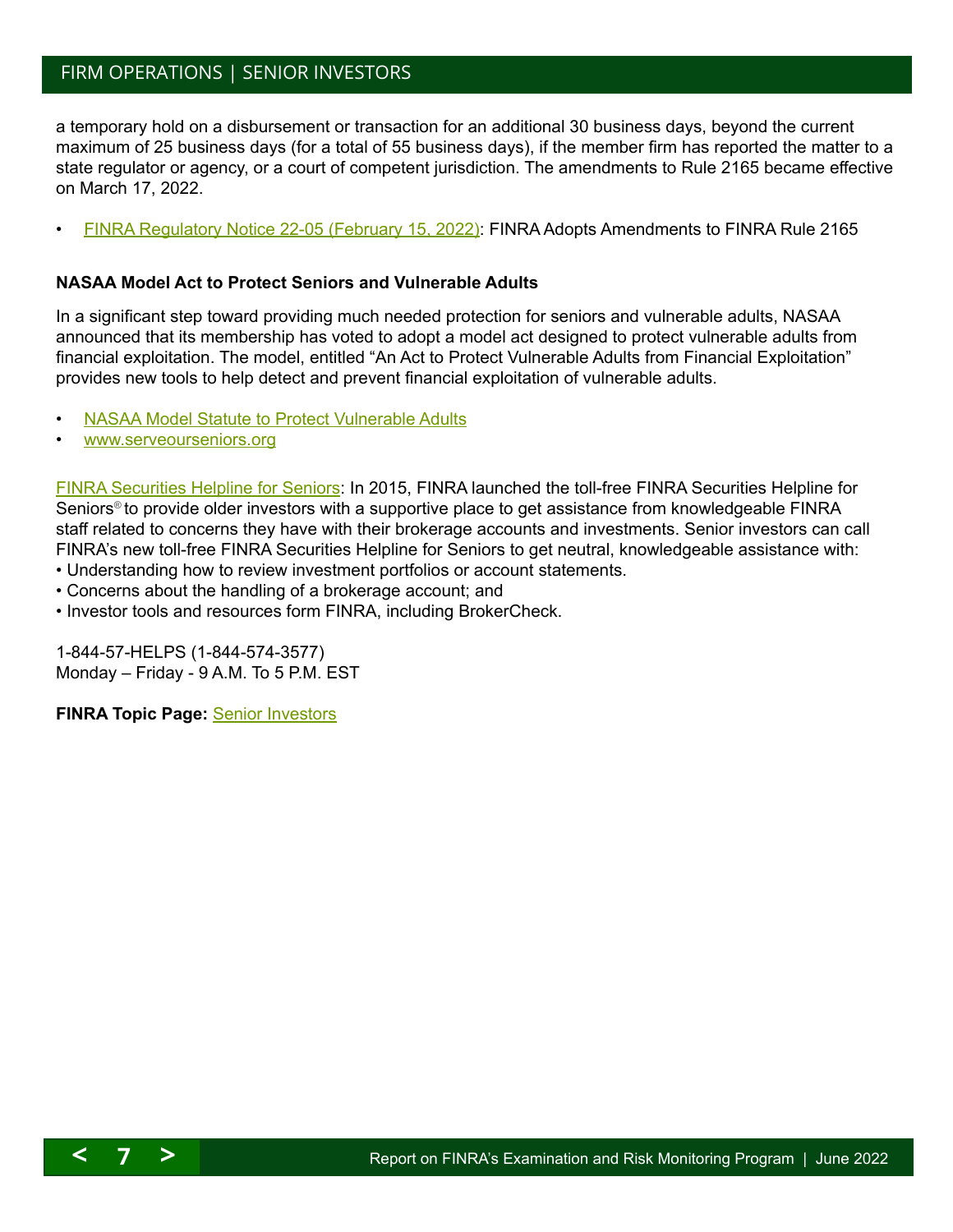### <span id="page-6-1"></span>FIRM OPERATIONS | SENIOR INVESTORS

a temporary hold on a disbursement or transaction for an additional 30 business days, beyond the current maximum of 25 business days (for a total of 55 business days), if the member firm has reported the matter to a state regulator or agency, or a court of competent jurisdiction. The amendments to Rule 2165 became effective on March 17, 2022.

• [FINRA Regulatory Notice 22-05 \(February 15, 2022\)](https://www.finra.org/sites/default/files/2022-02/Regulatory-Notice-22-05.pdf): FINRA Adopts Amendments to FINRA Rule 2165

#### **NASAA Model Act to Protect Seniors and Vulnerable Adults**

In a significant step toward providing much needed protection for seniors and vulnerable adults, NASAA announced that its membership has voted to adopt a model act designed to protect vulnerable adults from financial exploitation. The model, entitled "An Act to Protect Vulnerable Adults from Financial Exploitation" provides new tools to help detect and prevent financial exploitation of vulnerable adults.

- [NASAA Model Statute to Protect Vulnerable Adults](http://www.nasaa.org/38777/nasaa-members-adopt-model-act-to-protect-seniors-and-vulnerable-adults/)
- [www.serveourseniors.org](http://serveourseniors.org/)

[FINRA Securities Helpline for Seniors:](http://www.finra.org/investors/finra-securities-helpline-seniors) In 2015, FINRA launched the toll-free FINRA Securities Helpline for Seniors<sup>®</sup> to provide older investors with a supportive place to get assistance from knowledgeable FINRA staff related to concerns they have with their brokerage accounts and investments. Senior investors can call FINRA's new toll-free FINRA Securities Helpline for Seniors to get neutral, knowledgeable assistance with:

- Understanding how to review investment portfolios or account statements.
- Concerns about the handling of a brokerage account; and
- Investor tools and resources form FINRA, including BrokerCheck.

1-844-57-HELPS (1-844-574-3577) Monday – Friday - 9 A.M. To 5 P.M. EST

**FINRA Topic Page:** [Senior Investors](http://www.finra.org/industry/senior-investors)

<span id="page-6-0"></span>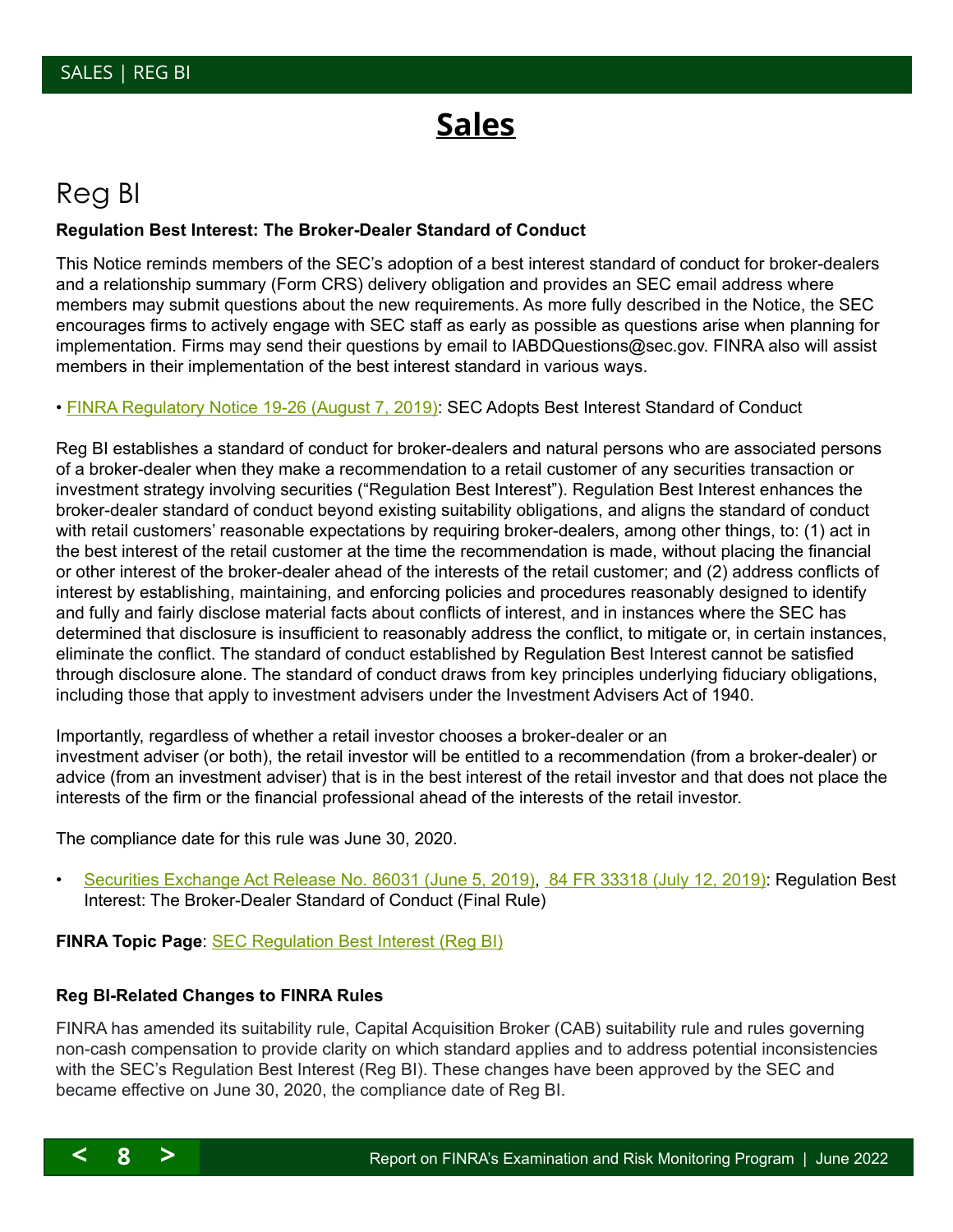# **Sales**

# <span id="page-7-0"></span>Reg BI

#### **Regulation Best Interest: The Broker-Dealer Standard of Conduct**

This Notice reminds members of the SEC's adoption of a best interest standard of conduct for broker-dealers and a relationship summary (Form CRS) delivery obligation and provides an SEC email address where members may submit questions about the new requirements. As more fully described in the Notice, the SEC encourages firms to actively engage with SEC staff as early as possible as questions arise when planning for implementation. Firms may send their questions by email to [IABDQuestions@sec.gov](mailto:IABDQuestions@sec.gov). FINRA also will assist members in their implementation of the best interest standard in various ways.

• [FINRA Regulatory Notice 19-26 \(August 7, 2019\)](http://cecouncil.org/media/266628/finra-regulatory-notice-19-26.pdf): SEC Adopts Best Interest Standard of Conduct

Reg BI establishes a standard of conduct for broker-dealers and natural persons who are associated persons of a broker-dealer when they make a recommendation to a retail customer of any securities transaction or investment strategy involving securities ("Regulation Best Interest"). Regulation Best Interest enhances the broker-dealer standard of conduct beyond existing suitability obligations, and aligns the standard of conduct with retail customers' reasonable expectations by requiring broker-dealers, among other things, to: (1) act in the best interest of the retail customer at the time the recommendation is made, without placing the financial or other interest of the broker-dealer ahead of the interests of the retail customer; and (2) address conflicts of interest by establishing, maintaining, and enforcing policies and procedures reasonably designed to identify and fully and fairly disclose material facts about conflicts of interest, and in instances where the SEC has determined that disclosure is insufficient to reasonably address the conflict, to mitigate or, in certain instances, eliminate the conflict. The standard of conduct established by Regulation Best Interest cannot be satisfied through disclosure alone. The standard of conduct draws from key principles underlying fiduciary obligations, including those that apply to investment advisers under the Investment Advisers Act of 1940.

Importantly, regardless of whether a retail investor chooses a broker-dealer or an investment adviser (or both), the retail investor will be entitled to a recommendation (from a broker-dealer) or advice (from an investment adviser) that is in the best interest of the retail investor and that does not place the interests of the firm or the financial professional ahead of the interests of the retail investor.

The compliance date for this rule was June 30, 2020.

• [Securities Exchange Act Release No. 86031 \(June 5, 2019\),](https://www.sec.gov/rules/final/2019/34-86031.pdf) [84 FR 33318 \(July 12, 2019\)](https://www.govinfo.gov/content/pkg/FR-2019-07-12/pdf/2019-12164.pdf): Regulation Best Interest: The Broker-Dealer Standard of Conduct (Final Rule)

**FINRA Topic Page**: [SEC Regulation Best Interest \(Reg BI\)](https://www.finra.org/rules-guidance/key-topics/regulation-best-interest)

#### **Reg BI-Related Changes to FINRA Rules**

FINRA has amended its suitability rule, Capital Acquisition Broker (CAB) suitability rule and rules governing non-cash compensation to provide clarity on which standard applies and to address potential inconsistencies with the SEC's Regulation Best Interest (Reg BI). These changes have been approved by the SEC and became effective on June 30, 2020, the compliance date of Reg BI.

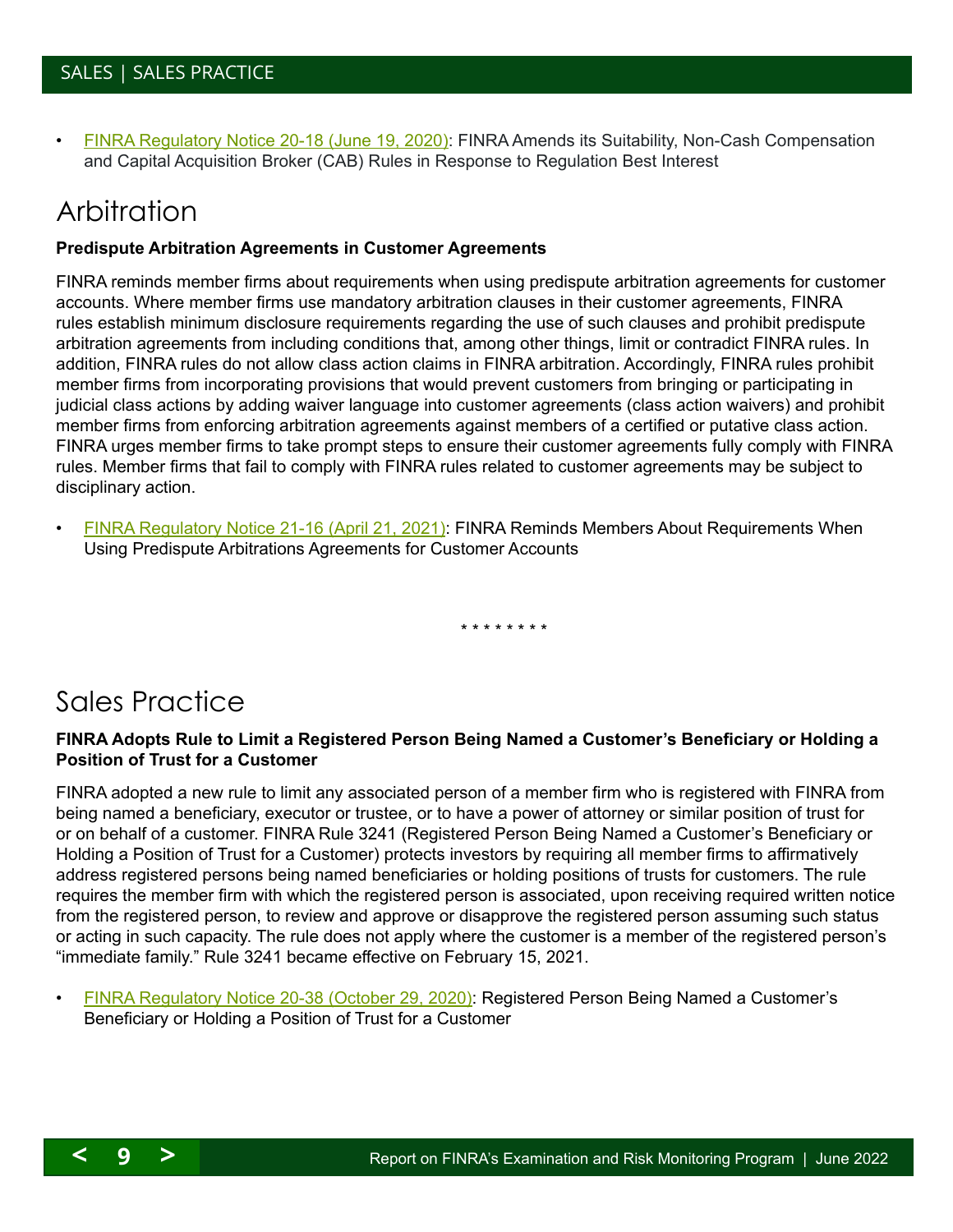<span id="page-8-2"></span>• [FINRA Regulatory Notice 20-18 \(June 19, 2020\)](https://www.finra.org/sites/default/files/2020-06/Regulatory-Notice-20-18.pdf): FINRA Amends its Suitability, Non-Cash Compensation and Capital Acquisition Broker (CAB) Rules in Response to Regulation Best Interest

## <span id="page-8-0"></span>Arbitration

#### **Predispute Arbitration Agreements in Customer Agreements**

FINRA reminds member firms about requirements when using predispute arbitration agreements for customer accounts. Where member firms use mandatory arbitration clauses in their customer agreements, FINRA rules establish minimum disclosure requirements regarding the use of such clauses and prohibit predispute arbitration agreements from including conditions that, among other things, limit or contradict FINRA rules. In addition, FINRA rules do not allow class action claims in FINRA arbitration. Accordingly, FINRA rules prohibit member firms from incorporating provisions that would prevent customers from bringing or participating in judicial class actions by adding waiver language into customer agreements (class action waivers) and prohibit member firms from enforcing arbitration agreements against members of a certified or putative class action. FINRA urges member firms to take prompt steps to ensure their customer agreements fully comply with FINRA rules. Member firms that fail to comply with FINRA rules related to customer agreements may be subject to disciplinary action.

• [FINRA Regulatory Notice 21-16 \(April 21, 2021\)](https://www.finra.org/sites/default/files/2021-04/Regulatory-Notice-21-16.pdf): FINRA Reminds Members About Requirements When Using Predispute Arbitrations Agreements for Customer Accounts

\* \* \* \* \* \* \* \*

## <span id="page-8-1"></span>Sales Practice

#### **FINRA Adopts Rule to Limit a Registered Person Being Named a Customer's Beneficiary or Holding a Position of Trust for a Customer**

FINRA adopted a new rule to limit any associated person of a member firm who is registered with FINRA from being named a beneficiary, executor or trustee, or to have a power of attorney or similar position of trust for or on behalf of a customer. FINRA Rule 3241 (Registered Person Being Named a Customer's Beneficiary or Holding a Position of Trust for a Customer) protects investors by requiring all member firms to affirmatively address registered persons being named beneficiaries or holding positions of trusts for customers. The rule requires the member firm with which the registered person is associated, upon receiving required written notice from the registered person, to review and approve or disapprove the registered person assuming such status or acting in such capacity. The rule does not apply where the customer is a member of the registered person's "immediate family." Rule 3241 became effective on February 15, 2021.

• [FINRA Regulatory Notice 20-38 \(October 29, 2020\)](https://www.finra.org/sites/default/files/2020-10/Regulatory-Notice-20-38.pdf): Registered Person Being Named a Customer's Beneficiary or Holding a Position of Trust for a Customer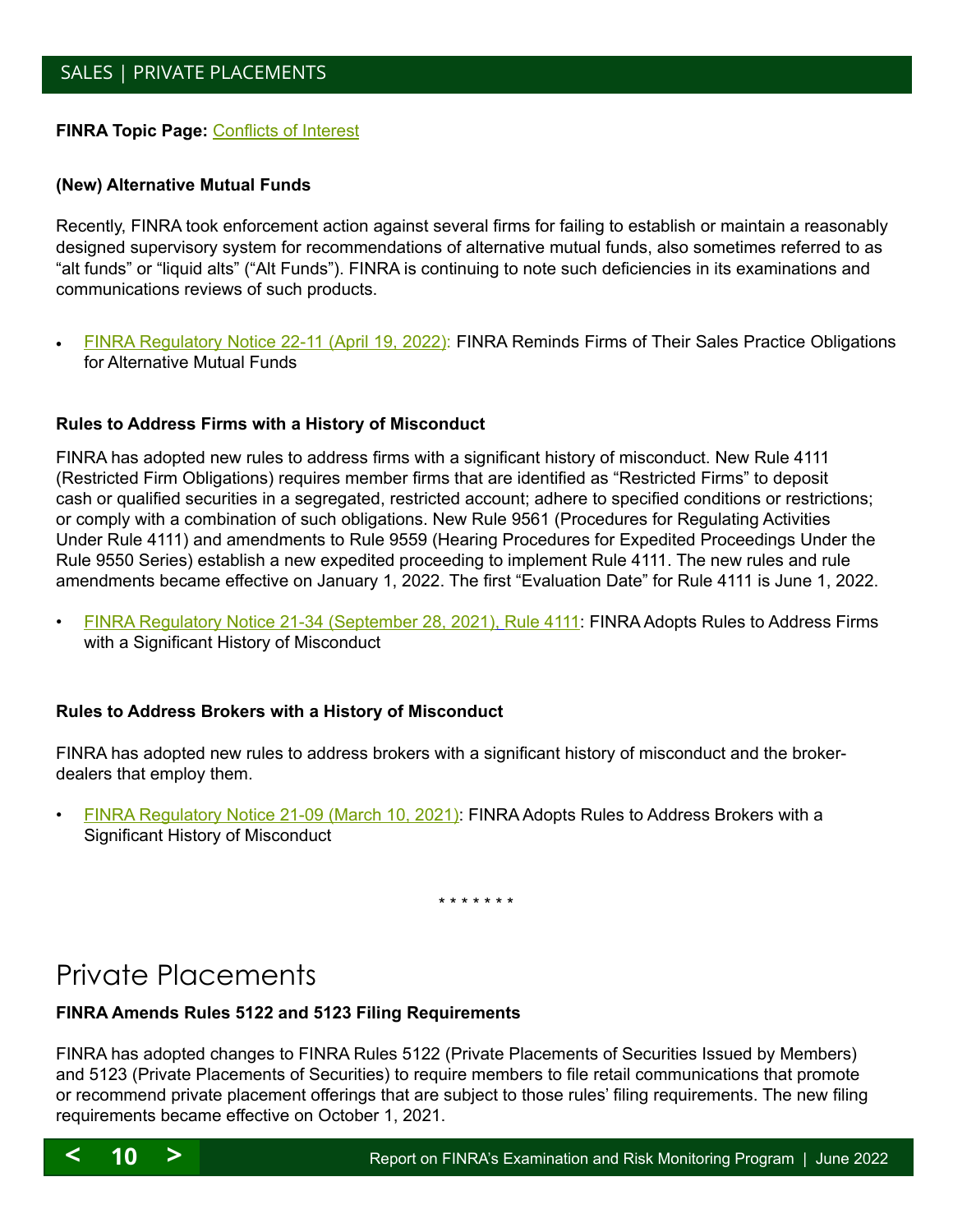#### <span id="page-9-3"></span>**FINRA Topic Page:** [Conflicts of Interest](http://www.finra.org/industry/conflicts-of-interest)

#### <span id="page-9-1"></span>**(New) Alternative Mutual Funds**

Recently, FINRA took enforcement action against several firms for failing to establish or maintain a reasonably designed supervisory system for recommendations of alternative mutual funds, also sometimes referred to as "alt funds" or "liquid alts" ("Alt Funds"). FINRA is continuing to note such deficiencies in its examinations and communications reviews of such products.

[FINRA Regulatory Notice 22-11 \(April 19, 2022\)](http://cecouncil.org/media/266879/finra-regulatory-notice-22-11.pdf): FINRA Reminds Firms of Their Sales Practice Obligations for Alternative Mutual Funds

#### <span id="page-9-2"></span>**Rules to Address Firms with a History of Misconduct**

FINRA has adopted new rules to address firms with a significant history of misconduct. New Rule 4111 (Restricted Firm Obligations) requires member firms that are identified as "Restricted Firms" to deposit cash or qualified securities in a segregated, restricted account; adhere to specified conditions or restrictions; or comply with a combination of such obligations. New Rule 9561 (Procedures for Regulating Activities Under Rule 4111) and amendments to Rule 9559 (Hearing Procedures for Expedited Proceedings Under the Rule 9550 Series) establish a new expedited proceeding to implement Rule 4111. The new rules and rule amendments became effective on January 1, 2022. The first "Evaluation Date" for Rule 4111 is June 1, 2022.

• [FINRA Regulatory Notice 21-34 \(September 28, 2021\)](https://www.finra.org/sites/default/files/2021-09/Regulatory-Notice-21-33.pdf), [Rule 4111](http://cecouncil.org/media/266872/finra-informational-notice-2122.pdf): FINRA Adopts Rules to Address Firms with a Significant History of Misconduct

#### **Rules to Address Brokers with a History of Misconduct**

FINRA has adopted new rules to address brokers with a significant history of misconduct and the brokerdealers that employ them.

• [FINRA Regulatory Notice 21-09 \(March 10, 2021\):](https://www.finra.org/sites/default/files/2021-03/Regulatory-Notice-21-09.pdf) FINRA Adopts Rules to Address Brokers with a Significant History of Misconduct

\* \* \* \* \* \* \*

## <span id="page-9-0"></span>Private Placements

#### **FINRA Amends Rules 5122 and 5123 Filing Requirements**

FINRA has adopted changes to FINRA Rules 5122 (Private Placements of Securities Issued by Members) and 5123 (Private Placements of Securities) to require members to file retail communications that promote or recommend private placement offerings that are subject to those rules' filing requirements. The new filing requirements became effective on October 1, 2021.

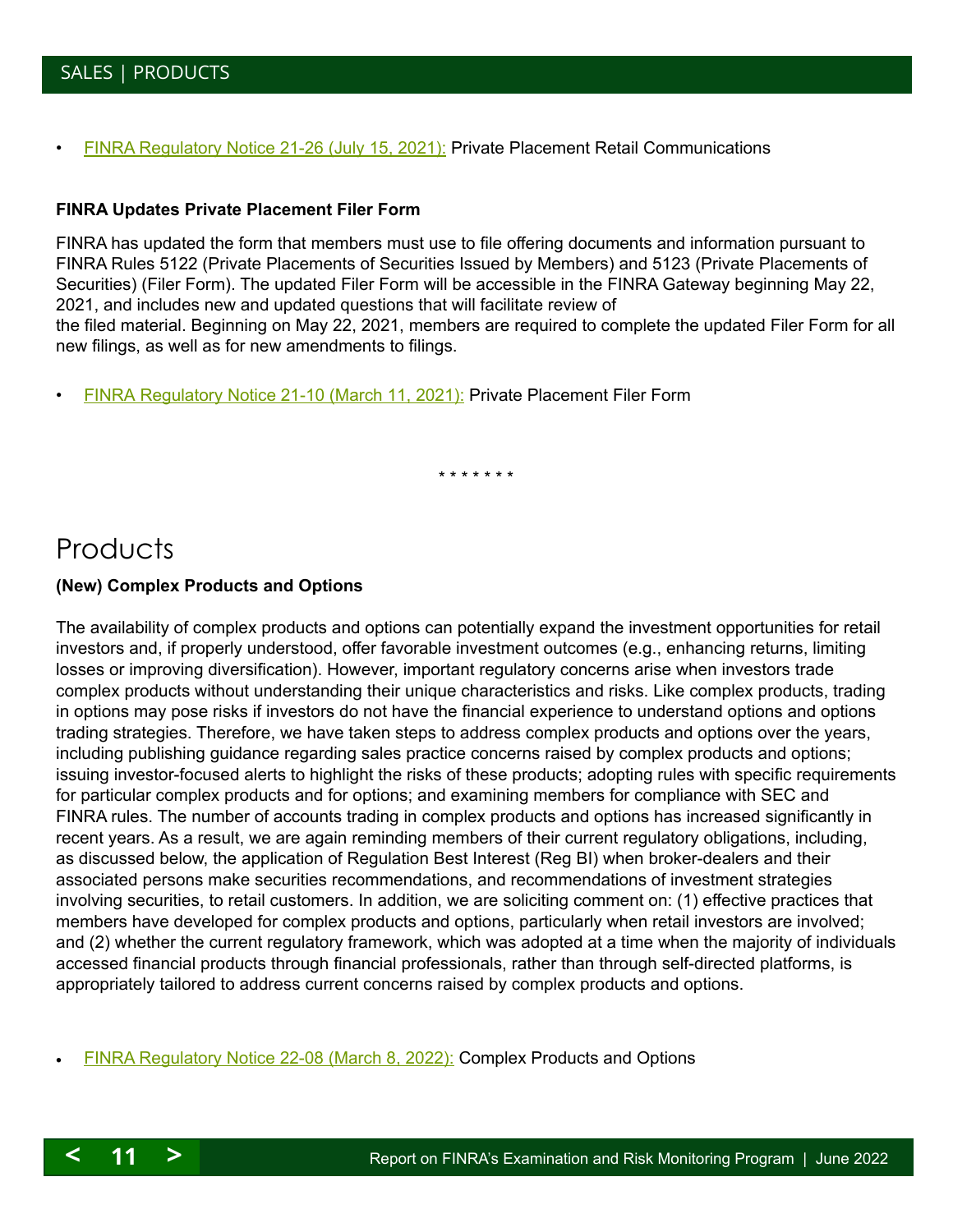<span id="page-10-1"></span>• [FINRA Regulatory Notice 21-26 \(July 15, 2021\):](https://www.finra.org/sites/default/files/2021-07/Regulatory-Notice-21-26.pdf) Private Placement Retail Communications

#### **FINRA Updates Private Placement Filer Form**

FINRA has updated the form that members must use to file offering documents and information pursuant to FINRA Rules 5122 (Private Placements of Securities Issued by Members) and 5123 (Private Placements of Securities) (Filer Form). The updated Filer Form will be accessible in the FINRA Gateway beginning May 22, 2021, and includes new and updated questions that will facilitate review of the filed material. Beginning on May 22, 2021, members are required to complete the updated Filer Form for all new filings, as well as for new amendments to filings.

• [FINRA Regulatory Notice 21-10 \(March 11, 2021\)](https://www.finra.org/sites/default/files/2021-03/Regulatory-Notice-21-10.pdf): Private Placement Filer Form

\* \* \* \* \* \* \*

## <span id="page-10-0"></span>**Products**

#### **(New) Complex Products and Options**

The availability of complex products and options can potentially expand the investment opportunities for retail investors and, if properly understood, offer favorable investment outcomes (e.g., enhancing returns, limiting losses or improving diversification). However, important regulatory concerns arise when investors trade complex products without understanding their unique characteristics and risks. Like complex products, trading in options may pose risks if investors do not have the financial experience to understand options and options trading strategies. Therefore, we have taken steps to address complex products and options over the years, including publishing guidance regarding sales practice concerns raised by complex products and options; issuing investor-focused alerts to highlight the risks of these products; adopting rules with specific requirements for particular complex products and for options; and examining members for compliance with SEC and FINRA rules. The number of accounts trading in complex products and options has increased significantly in recent years. As a result, we are again reminding members of their current regulatory obligations, including, as discussed below, the application of Regulation Best Interest (Reg BI) when broker-dealers and their associated persons make securities recommendations, and recommendations of investment strategies involving securities, to retail customers. In addition, we are soliciting comment on: (1) effective practices that members have developed for complex products and options, particularly when retail investors are involved; and (2) whether the current regulatory framework, which was adopted at a time when the majority of individuals accessed financial products through financial professionals, rather than through self-directed platforms, is appropriately tailored to address current concerns raised by complex products and options.

[FINRA Regulatory Notice 22-08 \(March 8, 2022\):](http://cecouncil.org/media/266874/finra-regulatory-notice-22-08.pdf) Complex Products and Options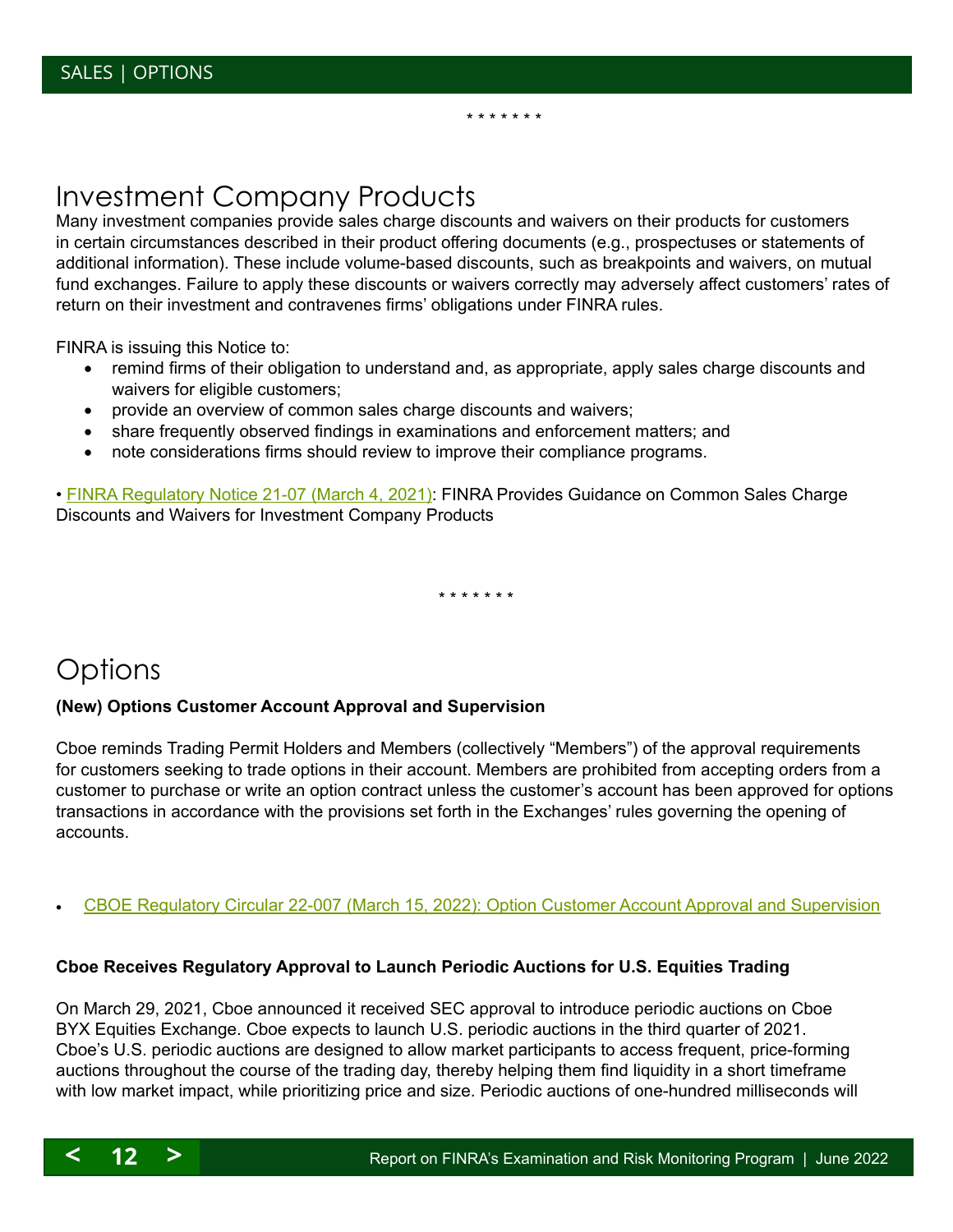## <span id="page-11-2"></span><span id="page-11-0"></span>Investment Company Products

Many investment companies provide sales charge discounts and waivers on their products for customers in certain circumstances described in their product offering documents (e.g., prospectuses or statements of additional information). These include volume-based discounts, such as breakpoints and waivers, on mutual fund exchanges. Failure to apply these discounts or waivers correctly may adversely affect customers' rates of return on their investment and contravenes firms' obligations under FINRA rules.

\* \* \* \* \* \* \*

FINRA is issuing this Notice to:

- remind firms of their obligation to understand and, as appropriate, apply sales charge discounts and waivers for eligible customers;
- provide an overview of common sales charge discounts and waivers;
- share frequently observed findings in examinations and enforcement matters; and
- note considerations firms should review to improve their compliance programs.

• **[FINRA Regulatory Notice 21-07 \(March 4, 2021\):](https://www.finra.org/sites/default/files/2021-03/Regulatory-Notice-21-07.pdf) FINRA Provides Guidance on Common Sales Charge** Discounts and Waivers for Investment Company Products

\* \* \* \* \* \* \*

## <span id="page-11-1"></span>**Options**

#### **(New) Options Customer Account Approval and Supervision**

Cboe reminds Trading Permit Holders and Members (collectively "Members") of the approval requirements for customers seeking to trade options in their account. Members are prohibited from accepting orders from a customer to purchase or write an option contract unless the customer's account has been approved for options transactions in accordance with the provisions set forth in the Exchanges' rules governing the opening of accounts.

[CBOE Regulatory Circular 22-007 \(March 15, 2022\): Option Customer Account Approval and Supervision](http://cecouncil.org/media/266878/cboe-regulatory-circular-22-007.pdf)

#### **Cboe Receives Regulatory Approval to Launch Periodic Auctions for U.S. Equities Trading**

On March 29, 2021, Cboe announced it received SEC approval to introduce periodic auctions on Cboe BYX Equities Exchange. Cboe expects to launch U.S. periodic auctions in the third quarter of 2021. Cboe's U.S. periodic auctions are designed to allow market participants to access frequent, price-forming auctions throughout the course of the trading day, thereby helping them find liquidity in a short timeframe with low market impact, while prioritizing price and size. Periodic auctions of one-hundred milliseconds will

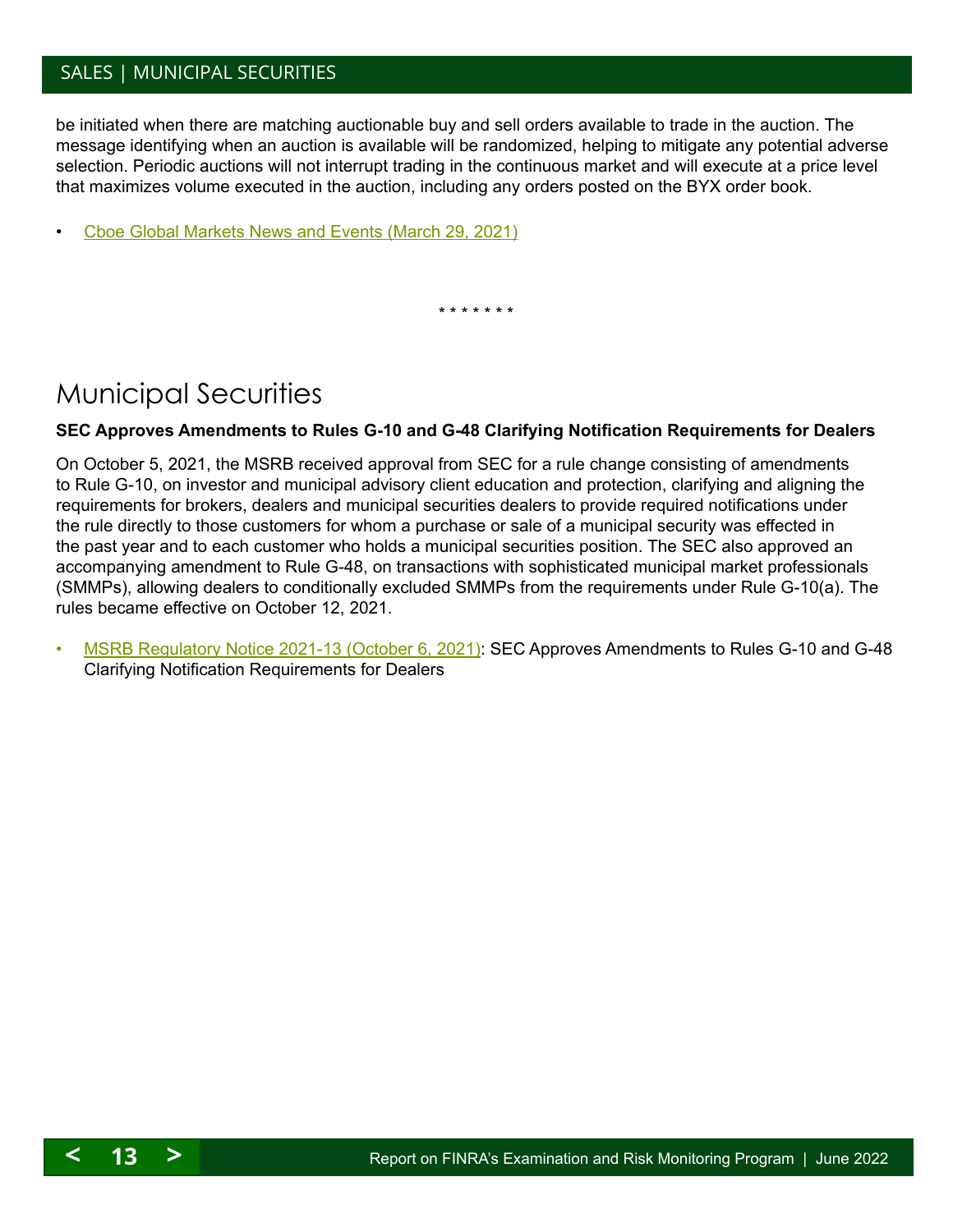## <span id="page-12-1"></span>SALES | MUNICIPAL SECURITIES

be initiated when there are matching auctionable buy and sell orders available to trade in the auction. The message identifying when an auction is available will be randomized, helping to mitigate any potential adverse selection. Periodic auctions will not interrupt trading in the continuous market and will execute at a price level that maximizes volume executed in the auction, including any orders posted on the BYX order book.

• [Cboe Global Markets News and Events \(March 29, 2021\)](http://Cboe Global Markets News and Events (March 29, 2021))

\* \* \* \* \* \* \*

## <span id="page-12-0"></span>Municipal Securities

#### **SEC Approves Amendments to Rules G-10 and G-48 Clarifying Notification Requirements for Dealers**

On October 5, 2021, the MSRB received approval from SEC for a rule change consisting of amendments to Rule G-10, on investor and municipal advisory client education and protection, clarifying and aligning the requirements for brokers, dealers and municipal securities dealers to provide required notifications under the rule directly to those customers for whom a purchase or sale of a municipal security was effected in the past year and to each customer who holds a municipal securities position. The SEC also approved an accompanying amendment to Rule G-48, on transactions with sophisticated municipal market professionals (SMMPs), allowing dealers to conditionally excluded SMMPs from the requirements under Rule G-10(a). The rules became effective on October 12, 2021.

• [MSRB Regulatory Notice 2021-13 \(October 6, 2021\):](https://www.msrb.org/-/media/Files/Regulatory-Notices/Announcements/2021-13.ashx??n=1) SEC Approves Amendments to Rules G-10 and G-48 Clarifying Notification Requirements for Dealers

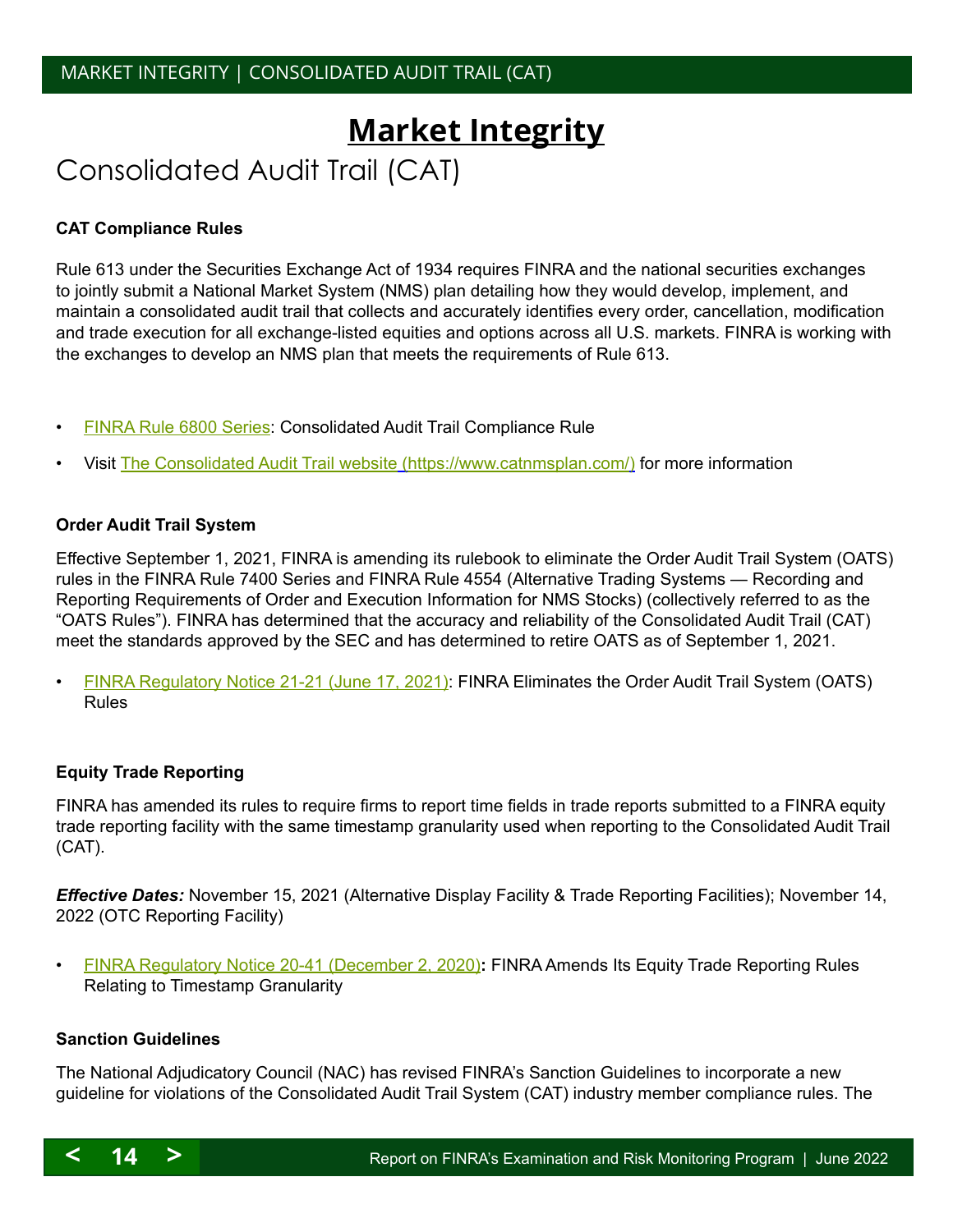# <span id="page-13-0"></span>**Market Integrity**

# <span id="page-13-1"></span>Consolidated Audit Trail (CAT)

#### **CAT Compliance Rules**

Rule 613 under the Securities Exchange Act of 1934 requires FINRA and the national securities exchanges to jointly submit a National Market System (NMS) plan detailing how they would develop, implement, and maintain a consolidated audit trail that collects and accurately identifies every order, cancellation, modification and trade execution for all exchange-listed equities and options across all U.S. markets. FINRA is working with the exchanges to develop an NMS plan that meets the requirements of Rule 613.

- [FINRA Rule 6800 Series](https://www.finra.org/rules-guidance/rulebooks/finra-rules/6000): Consolidated Audit Trail Compliance Rule
- Visit [The Consolidated Audit Trail website](http://www.catnmsplan.com/) [\(https://www.catnmsplan.com/\)](https://www.catnmsplan.com/) for more information

#### **Order Audit Trail System**

Effective September 1, 2021, FINRA is amending its rulebook to eliminate the Order Audit Trail System (OATS) rules in the FINRA Rule 7400 Series and FINRA Rule 4554 (Alternative Trading Systems — Recording and Reporting Requirements of Order and Execution Information for NMS Stocks) (collectively referred to as the "OATS Rules"). FINRA has determined that the accuracy and reliability of the Consolidated Audit Trail (CAT) meet the standards approved by the SEC and has determined to retire OATS as of September 1, 2021.

• [FINRA Regulatory Notice 21-21 \(June 17, 2021\)](https://www.finra.org/sites/default/files/2021-06/Regulatory-Notice-21-21.pdf): FINRA Eliminates the Order Audit Trail System (OATS) Rules

#### **Equity Trade Reporting**

FINRA has amended its rules to require firms to report time fields in trade reports submitted to a FINRA equity trade reporting facility with the same timestamp granularity used when reporting to the Consolidated Audit Trail (CAT).

*Effective Dates:* November 15, 2021 (Alternative Display Facility & Trade Reporting Facilities); November 14, 2022 (OTC Reporting Facility)

• [FINRA Regulatory Notice 20-41 \(December 2, 2020\)](https://www.finra.org/sites/default/files/2020-12/Regulatory-Notice-20-41.pdf)**:** FINRA Amends Its Equity Trade Reporting Rules Relating to Timestamp Granularity

#### **Sanction Guidelines**

The National Adjudicatory Council (NAC) has revised FINRA's Sanction Guidelines to incorporate a new guideline for violations of the Consolidated Audit Trail System (CAT) industry member compliance rules. The

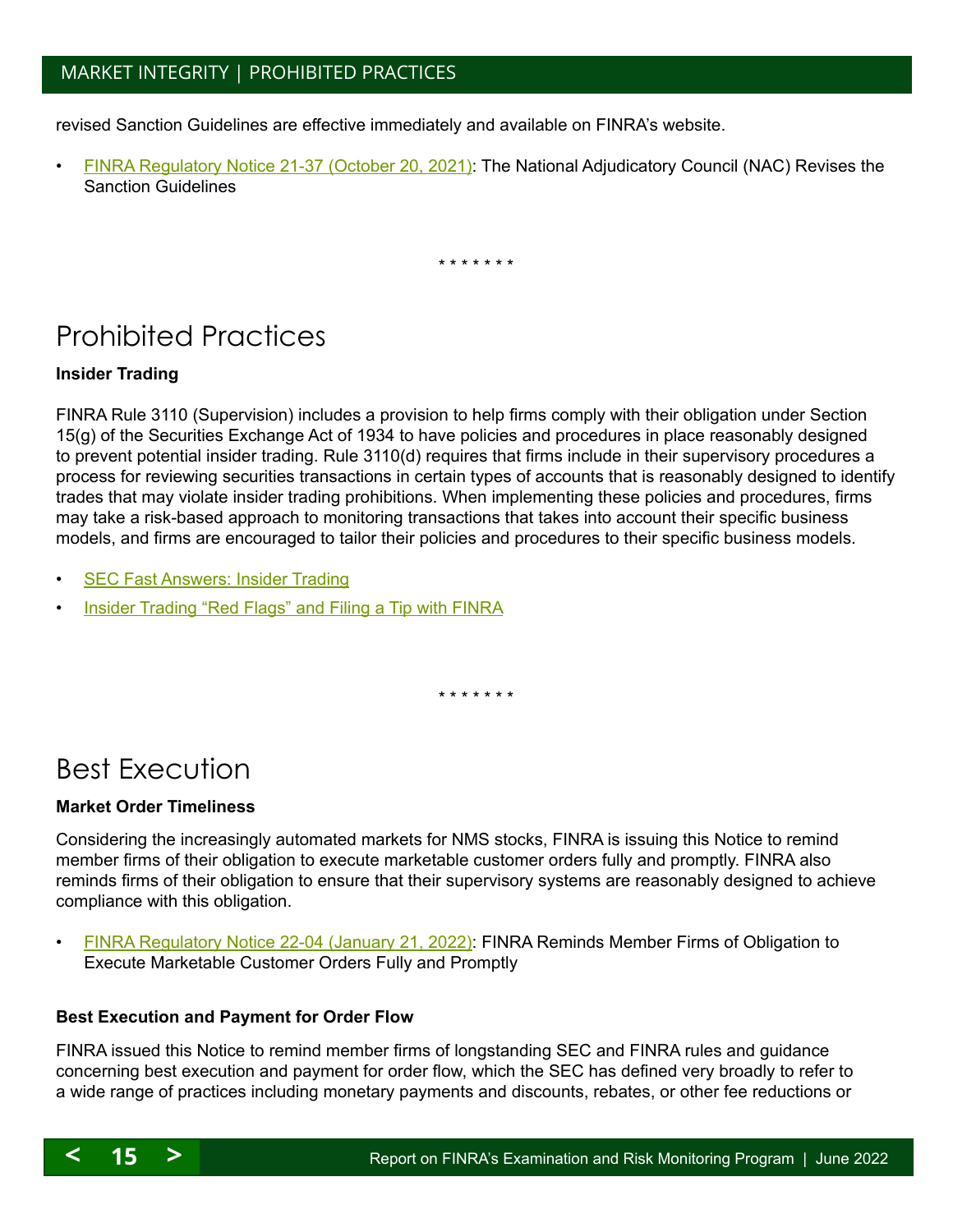## <span id="page-14-2"></span>MARKET INTEGRITY | PROHIBITED PRACTICES

revised Sanction Guidelines are effective immediately and available on FINRA's website.

• [FINRA Regulatory Notice 21-37 \(October 20, 2021\)](https://www.finra.org/sites/default/files/2021-10/Regulatory-Notice-21-37.pdf): The National Adjudicatory Council (NAC) Revises the Sanction Guidelines

\* \* \* \* \* \* \*

## <span id="page-14-0"></span>Prohibited Practices

#### **Insider Trading**

FINRA Rule 3110 (Supervision) includes a provision to help firms comply with their obligation under Section 15(g) of the Securities Exchange Act of 1934 to have policies and procedures in place reasonably designed to prevent potential insider trading. Rule 3110(d) requires that firms include in their supervisory procedures a process for reviewing securities transactions in certain types of accounts that is reasonably designed to identify trades that may violate insider trading prohibitions. When implementing these policies and procedures, firms may take a risk-based approach to monitoring transactions that takes into account their specific business models, and firms are encouraged to tailor their policies and procedures to their specific business models.

- **[SEC Fast Answers: Insider Trading](https://www.sec.gov/fast-answers/answersinsiderhtm.html)**
- [Insider Trading "Red Flags" and Filing a Tip with FINRA](http://www.finra.org/industry/insider-trading-red-flags-and-filing-tip-finra)

\* \* \* \* \* \* \*

## <span id="page-14-1"></span>Best Execution

#### **Market Order Timeliness**

Considering the increasingly automated markets for NMS stocks, FINRA is issuing this Notice to remind member firms of their obligation to execute marketable customer orders fully and promptly. FINRA also reminds firms of their obligation to ensure that their supervisory systems are reasonably designed to achieve compliance with this obligation.

• [FINRA Regulatory Notice 22-04 \(January 21, 2022\)](https://www.finra.org/sites/default/files/2022-01/Regulatory-Notice-22-04.pdf): FINRA Reminds Member Firms of Obligation to Execute Marketable Customer Orders Fully and Promptly

#### **Best Execution and Payment for Order Flow**

FINRA issued this Notice to remind member firms of longstanding SEC and FINRA rules and guidance concerning best execution and payment for order flow, which the SEC has defined very broadly to refer to a wide range of practices including monetary payments and discounts, rebates, or other fee reductions or

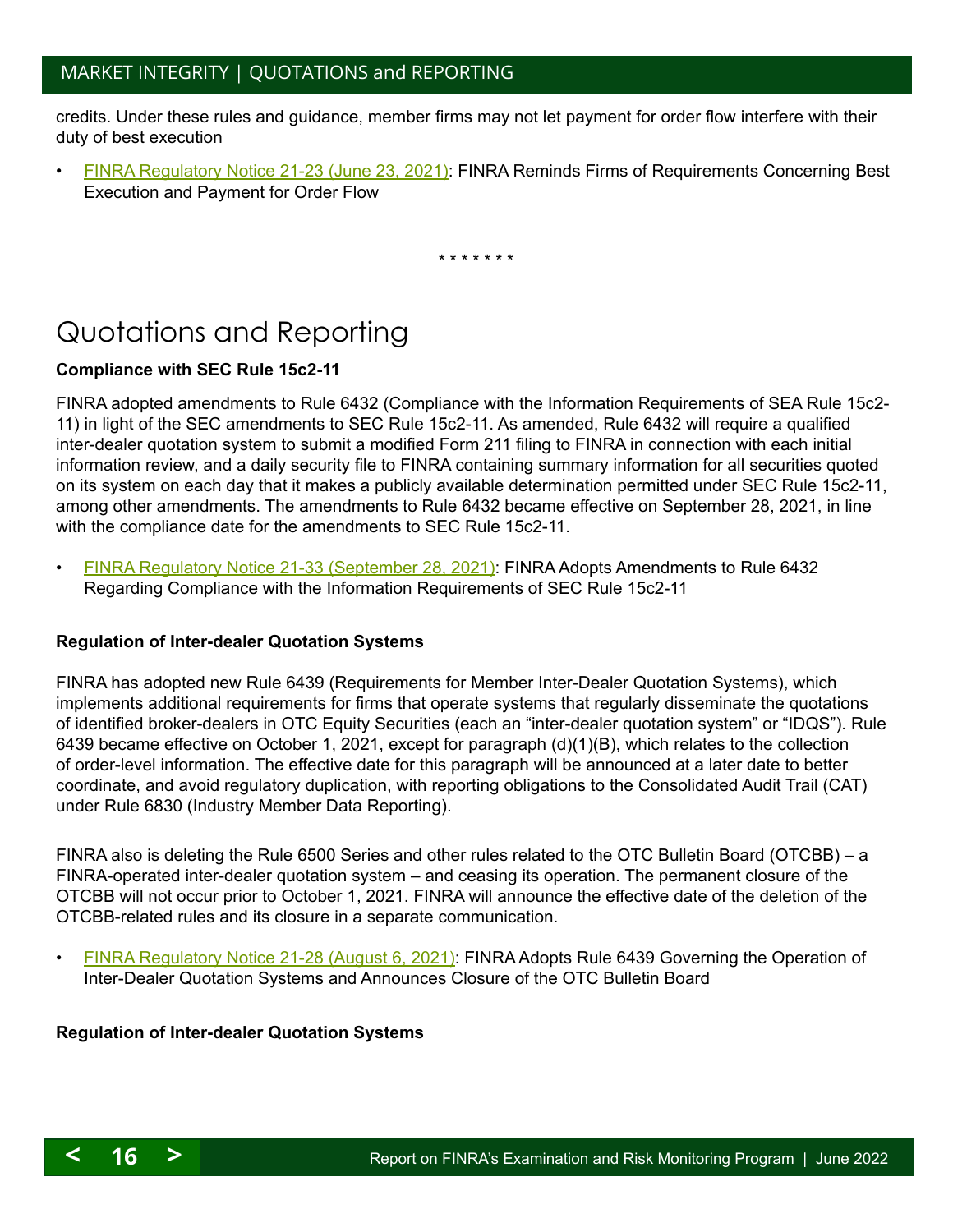## <span id="page-15-1"></span>MARKET INTEGRITY | QUOTATIONS and REPORTING

credits. Under these rules and guidance, member firms may not let payment for order flow interfere with their duty of best execution

• [FINRA Regulatory Notice 21-23 \(June 23, 2021\)](https://www.finra.org/sites/default/files/2021-06/Regulatory-Notice-21-23.pdf): FINRA Reminds Firms of Requirements Concerning Best Execution and Payment for Order Flow

\* \* \* \* \* \* \*

# <span id="page-15-0"></span>Quotations and Reporting

#### **Compliance with SEC Rule 15c2-11**

FINRA adopted amendments to Rule 6432 (Compliance with the Information Requirements of SEA Rule 15c2- 11) in light of the SEC amendments to SEC Rule 15c2-11. As amended, Rule 6432 will require a qualified inter-dealer quotation system to submit a modified Form 211 filing to FINRA in connection with each initial information review, and a daily security file to FINRA containing summary information for all securities quoted on its system on each day that it makes a publicly available determination permitted under SEC Rule 15c2-11, among other amendments. The amendments to Rule 6432 became effective on September 28, 2021, in line with the compliance date for the amendments to SEC Rule 15c2-11.

• [FINRA Regulatory Notice 21-33 \(September 28, 2021\)](https://www.finra.org/sites/default/files/2021-09/Regulatory-Notice-21-33.pdf): FINRA Adopts Amendments to Rule 6432 Regarding Compliance with the Information Requirements of SEC Rule 15c2-11

#### **Regulation of Inter-dealer Quotation Systems**

FINRA has adopted new Rule 6439 (Requirements for Member Inter-Dealer Quotation Systems), which implements additional requirements for firms that operate systems that regularly disseminate the quotations of identified broker-dealers in OTC Equity Securities (each an "inter-dealer quotation system" or "IDQS"). Rule 6439 became effective on October 1, 2021, except for paragraph (d)(1)(B), which relates to the collection of order-level information. The effective date for this paragraph will be announced at a later date to better coordinate, and avoid regulatory duplication, with reporting obligations to the Consolidated Audit Trail (CAT) under Rule 6830 (Industry Member Data Reporting).

FINRA also is deleting the Rule 6500 Series and other rules related to the OTC Bulletin Board (OTCBB) – a FINRA-operated inter-dealer quotation system – and ceasing its operation. The permanent closure of the OTCBB will not occur prior to October 1, 2021. FINRA will announce the effective date of the deletion of the OTCBB-related rules and its closure in a separate communication.

• [FINRA Regulatory Notice 21-28 \(August 6, 2021\)](https://www.finra.org/sites/default/files/2021-08/Regulatory-Notice-21-28.pdf): FINRA Adopts Rule 6439 Governing the Operation of Inter-Dealer Quotation Systems and Announces Closure of the OTC Bulletin Board

#### **Regulation of Inter-dealer Quotation Systems**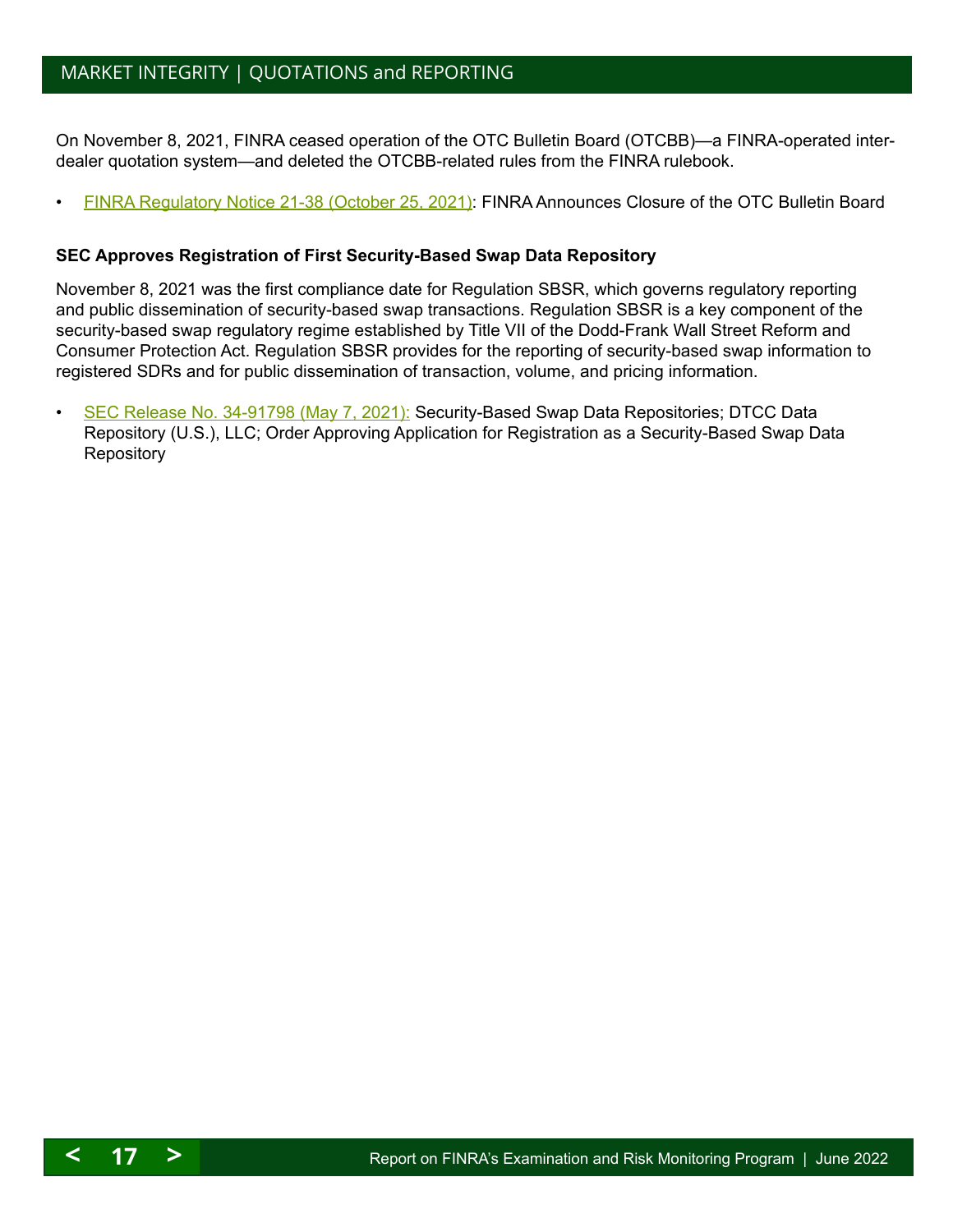## <span id="page-16-1"></span>MARKET INTEGRITY | QUOTATIONS and REPORTING

On November 8, 2021, FINRA ceased operation of the OTC Bulletin Board (OTCBB)—a FINRA-operated interdealer quotation system—and deleted the OTCBB-related rules from the FINRA rulebook.

• [FINRA Regulatory Notice 21-38 \(October 25, 2021\)](https://www.finra.org/sites/default/files/2021-10/Regulatory-Notice-21-38.pdf): FINRA Announces Closure of the OTC Bulletin Board

#### **SEC Approves Registration of First Security-Based Swap Data Repository**

November 8, 2021 was the first compliance date for Regulation SBSR, which governs regulatory reporting and public dissemination of security-based swap transactions. Regulation SBSR is a key component of the security-based swap regulatory regime established by Title VII of the Dodd-Frank Wall Street Reform and Consumer Protection Act. Regulation SBSR provides for the reporting of security-based swap information to registered SDRs and for public dissemination of transaction, volume, and pricing information.

• [SEC Release No. 34-91798 \(May 7, 2021\):](https://www.sec.gov/news/press-release/2021-80) Security-Based Swap Data Repositories; DTCC Data Repository (U.S.), LLC; Order Approving Application for Registration as a Security-Based Swap Data **Repository** 

<span id="page-16-0"></span>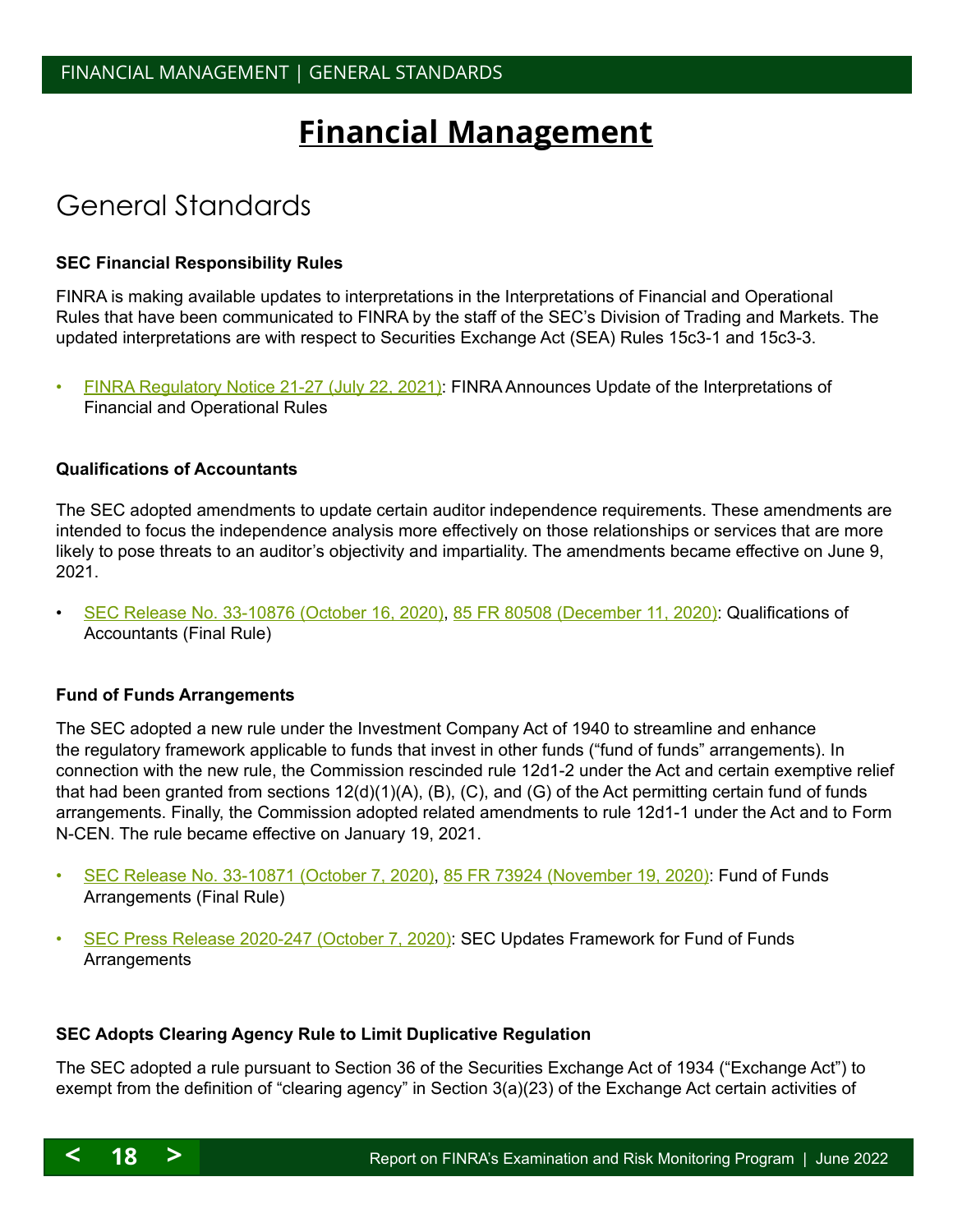# **Financial Management**

## <span id="page-17-0"></span>General Standards

#### **SEC Financial Responsibility Rules**

FINRA is making available updates to interpretations in the Interpretations of Financial and Operational Rules that have been communicated to FINRA by the staff of the SEC's Division of Trading and Markets. The updated interpretations are with respect to Securities Exchange Act (SEA) Rules 15c3-1 and 15c3-3.

• [FINRA Regulatory Notice 21-27 \(July 22, 2021\):](https://www.finra.org/sites/default/files/2021-07/Regulatory-Notice-21-27.pdf) FINRA Announces Update of the Interpretations of Financial and Operational Rules

#### **Qualifications of Accountants**

The SEC adopted amendments to update certain auditor independence requirements. These amendments are intended to focus the independence analysis more effectively on those relationships or services that are more likely to pose threats to an auditor's objectivity and impartiality. The amendments became effective on June 9, 2021.

• [SEC Release No. 33-10876 \(October 16, 2020\)](https://www.sec.gov/rules/final/2020/33-10876.pdf), [85 FR 80508 \(December 11, 2020\)](https://www.govinfo.gov/content/pkg/FR-2020-12-11/pdf/2020-23364.pdf): Qualifications of Accountants (Final Rule)

#### **Fund of Funds Arrangements**

The SEC adopted a new rule under the Investment Company Act of 1940 to streamline and enhance the regulatory framework applicable to funds that invest in other funds ("fund of funds" arrangements). In connection with the new rule, the Commission rescinded rule 12d1-2 under the Act and certain exemptive relief that had been granted from sections 12(d)(1)(A), (B), (C), and (G) of the Act permitting certain fund of funds arrangements. Finally, the Commission adopted related amendments to rule 12d1-1 under the Act and to Form N-CEN. The rule became effective on January 19, 2021.

- [SEC Release No. 33-10871 \(October 7, 2020\)](https://www.sec.gov/rules/final/2020/33-10871.pdf), [85 FR 73924 \(November 19, 2020\):](https://www.govinfo.gov/content/pkg/FR-2020-11-19/pdf/2020-23355.pdf) Fund of Funds Arrangements (Final Rule)
- [SEC Press Release 2020-247 \(October 7, 2020\): SEC Updates Framework for Fund of Funds](https://www.sec.gov/news/press-release/2020-247)  **[Arrangements](https://www.sec.gov/news/press-release/2020-247)**

#### **SEC Adopts Clearing Agency Rule to Limit Duplicative Regulation**

The SEC adopted a rule pursuant to Section 36 of the Securities Exchange Act of 1934 ("Exchange Act") to exempt from the definition of "clearing agency" in Section 3(a)(23) of the Exchange Act certain activities of

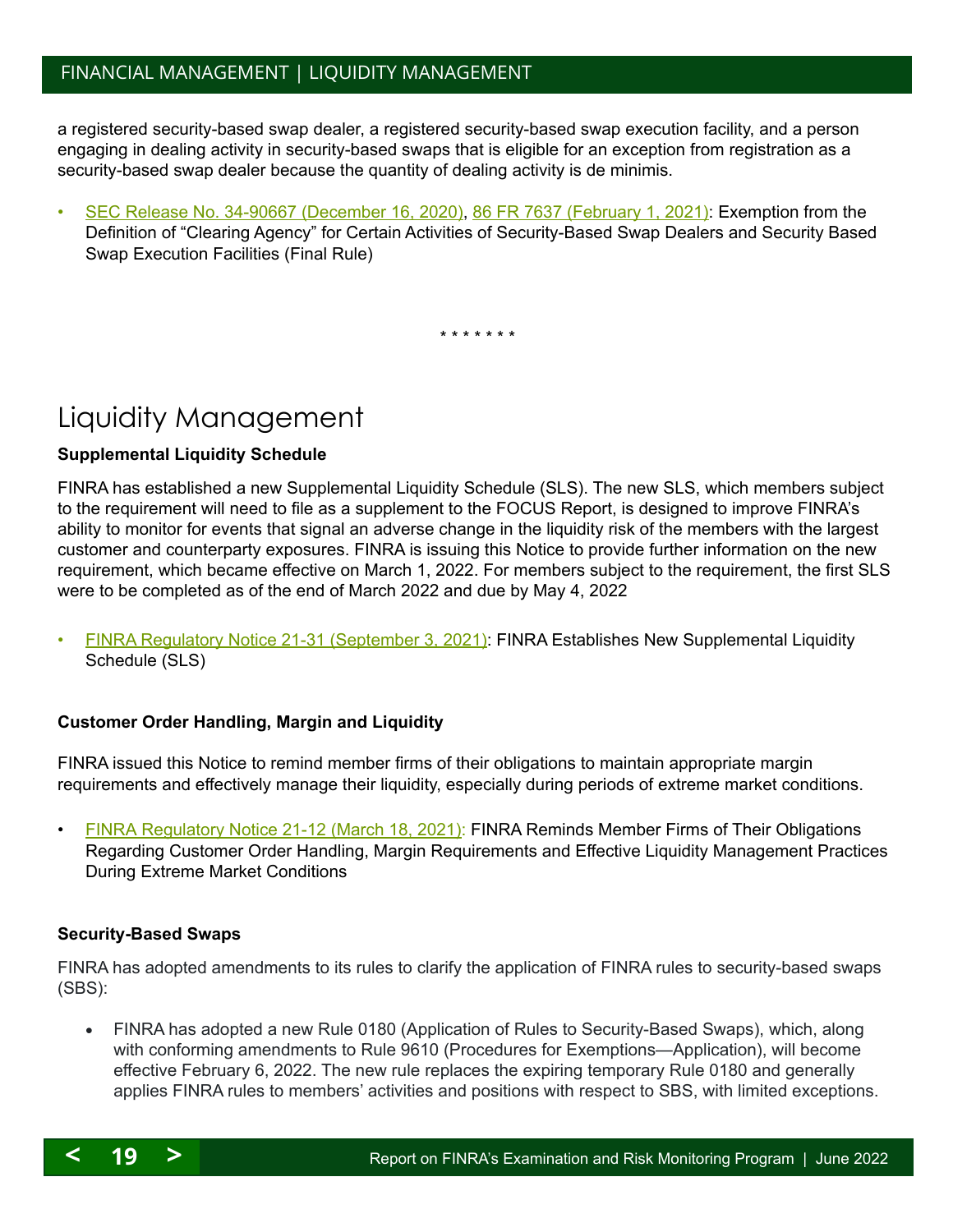## <span id="page-18-1"></span>FINANCIAL MANAGEMENT | LIQUIDITY MANAGEMENT

a registered security-based swap dealer, a registered security-based swap execution facility, and a person engaging in dealing activity in security-based swaps that is eligible for an exception from registration as a security-based swap dealer because the quantity of dealing activity is de minimis.

• [SEC Release No. 34-90667 \(December 16, 2020\),](https://www.sec.gov/rules/final/2020/34-90667.pdf) [86 FR 7637 \(February 1, 2021\)](https://www.govinfo.gov/content/pkg/FR-2021-02-01/pdf/2020-28194.pdf): Exemption from the Definition of "Clearing Agency" for Certain Activities of Security-Based Swap Dealers and Security Based Swap Execution Facilities (Final Rule)

\* \* \* \* \* \* \*

# <span id="page-18-0"></span>Liquidity Management

#### **Supplemental Liquidity Schedule**

FINRA has established a new Supplemental Liquidity Schedule (SLS). The new SLS, which members subject to the requirement will need to file as a supplement to the FOCUS Report, is designed to improve FINRA's ability to monitor for events that signal an adverse change in the liquidity risk of the members with the largest customer and counterparty exposures. FINRA is issuing this Notice to provide further information on the new requirement, which became effective on March 1, 2022. For members subject to the requirement, the first SLS were to be completed as of the end of March 2022 and due by May 4, 2022

• [FINRA Regulatory Notice 21-31 \(September 3, 2021\)](https://www.finra.org/sites/default/files/2021-09/Regulatory-Notice-21-31.pdf): FINRA Establishes New Supplemental Liquidity Schedule (SLS)

#### **Customer Order Handling, Margin and Liquidity**

FINRA issued this Notice to remind member firms of their obligations to maintain appropriate margin requirements and effectively manage their liquidity, especially during periods of extreme market conditions.

• [FINRA Regulatory Notice 21-12 \(March 18, 2021\)](https://www.finra.org/sites/default/files/2021-03/Regulatory-Notice-21-12.pdf): FINRA Reminds Member Firms of Their Obligations Regarding Customer Order Handling, Margin Requirements and Effective Liquidity Management Practices During Extreme Market Conditions

#### **Security-Based Swaps**

FINRA has adopted amendments to its rules to clarify the application of FINRA rules to security-based swaps (SBS):

FINRA has adopted a new Rule 0180 (Application of Rules to Security-Based Swaps), which, along with conforming amendments to Rule 9610 (Procedures for Exemptions—Application), will become effective February 6, 2022. The new rule replaces the expiring temporary Rule 0180 and generally applies FINRA rules to members' activities and positions with respect to SBS, with limited exceptions.

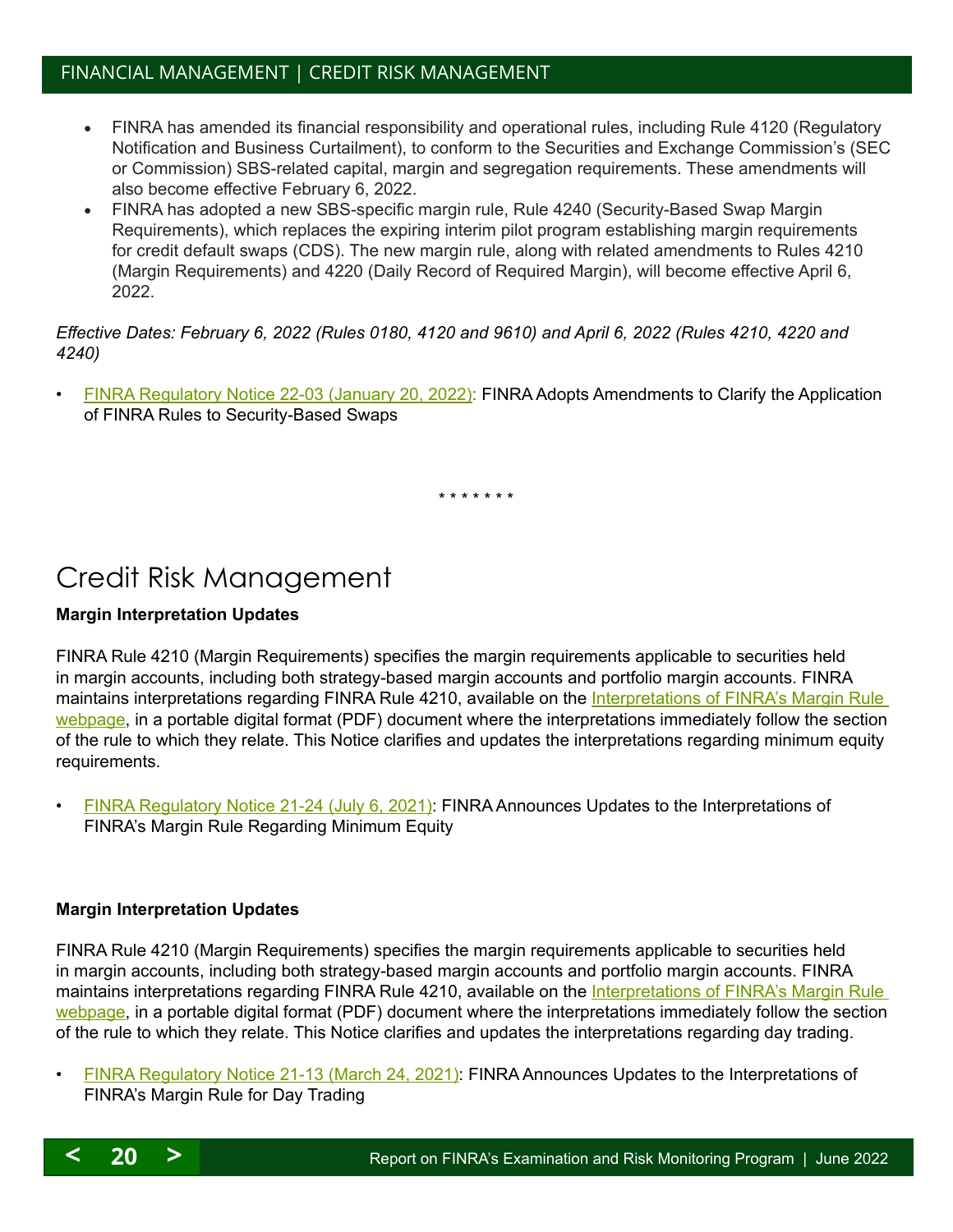## <span id="page-19-1"></span>FINANCIAL MANAGEMENT | CREDIT RISK MANAGEMENT

- FINRA has amended its financial responsibility and operational rules, including Rule 4120 (Regulatory Notification and Business Curtailment), to conform to the Securities and Exchange Commission's (SEC or Commission) SBS-related capital, margin and segregation requirements. These amendments will also become effective February 6, 2022.
- FINRA has adopted a new SBS-specific margin rule, Rule 4240 (Security-Based Swap Margin Requirements), which replaces the expiring interim pilot program establishing margin requirements for credit default swaps (CDS). The new margin rule, along with related amendments to Rules 4210 (Margin Requirements) and 4220 (Daily Record of Required Margin), will become effective April 6, 2022.

#### *Effective Dates: February 6, 2022 (Rules 0180, 4120 and 9610) and April 6, 2022 (Rules 4210, 4220 and 4240)*

• [FINRA Regulatory Notice 22-03 \(January 20, 2022\)](https://www.finra.org/sites/default/files/2022-01/Regulatory-Notice-22-03.pdf): FINRA Adopts Amendments to Clarify the Application of FINRA Rules to Security-Based Swaps

\* \* \* \* \* \* \*

## <span id="page-19-0"></span>Credit Risk Management

#### **Margin Interpretation Updates**

FINRA Rule 4210 (Margin Requirements) specifies the margin requirements applicable to securities held in margin accounts, including both strategy-based margin accounts and portfolio margin accounts. FINRA maintains interpretations regarding FINRA Rule 4210, available on the Interpretations of FINRA's Margin Rule [webpage](https://www.finra.org/rules-guidance/guidance/interpretations-finras-margin-rule), in a portable digital format (PDF) document where the interpretations immediately follow the section of the rule to which they relate. This Notice clarifies and updates the interpretations regarding minimum equity requirements.

• [FINRA Regulatory Notice 21-24 \(July 6, 2021\)](https://www.finra.org/sites/default/files/2021-07/Regulatory-Notice-21-24.pdf): FINRA Announces Updates to the Interpretations of FINRA's Margin Rule Regarding Minimum Equity

#### **Margin Interpretation Updates**

FINRA Rule 4210 (Margin Requirements) specifies the margin requirements applicable to securities held in margin accounts, including both strategy-based margin accounts and portfolio margin accounts. FINRA maintains interpretations regarding FINRA Rule 4210, available on the Interpretations of FINRA's Margin Rule [webpage](https://www.finra.org/rules-guidance/guidance/interpretations-finras-margin-rule), in a portable digital format (PDF) document where the interpretations immediately follow the section of the rule to which they relate. This Notice clarifies and updates the interpretations regarding day trading.

• [FINRA Regulatory Notice 21-13 \(March 24, 2021\):](https://www.finra.org/sites/default/files/2021-03/Regulatory-Notice-21-13.pdf) FINRA Announces Updates to the Interpretations of FINRA's Margin Rule for Day Trading